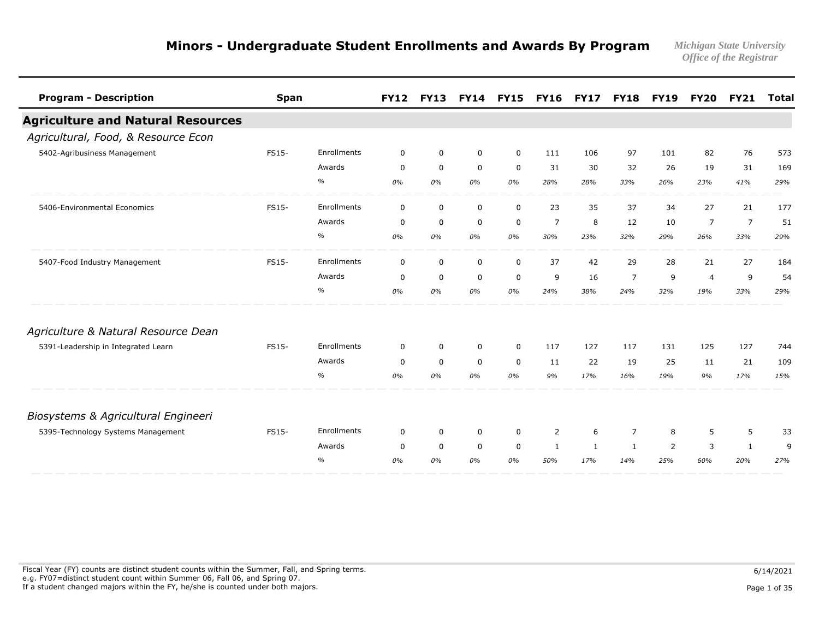*Office of the Registrar* 

| <b>Program - Description</b>             | <b>Span</b>  |               | <b>FY12</b> | <b>FY13</b> | <b>FY14</b> | <b>FY15</b> | <b>FY16</b>    | <b>FY17</b> | <b>FY18</b>    | <b>FY19</b>    | <b>FY20</b>    | <b>FY21</b>    | <b>Total</b> |
|------------------------------------------|--------------|---------------|-------------|-------------|-------------|-------------|----------------|-------------|----------------|----------------|----------------|----------------|--------------|
| <b>Agriculture and Natural Resources</b> |              |               |             |             |             |             |                |             |                |                |                |                |              |
| Agricultural, Food, & Resource Econ      |              |               |             |             |             |             |                |             |                |                |                |                |              |
| 5402-Agribusiness Management             | FS15-        | Enrollments   | $\mathbf 0$ | $\mathbf 0$ | $\mathbf 0$ | $\mathbf 0$ | 111            | 106         | 97             | 101            | 82             | 76             | 573          |
|                                          |              | Awards        | $\mathbf 0$ | $\mathbf 0$ | $\mathbf 0$ | $\mathbf 0$ | 31             | 30          | 32             | 26             | 19             | 31             | 169          |
|                                          |              | $\%$          | 0%          | 0%          | 0%          | 0%          | 28%            | 28%         | 33%            | 26%            | 23%            | 41%            | 29%          |
| 5406-Environmental Economics             | <b>FS15-</b> | Enrollments   | $\mathbf 0$ | $\mathbf 0$ | $\mathbf 0$ | $\mathbf 0$ | 23             | 35          | 37             | 34             | 27             | 21             | 177          |
|                                          |              | Awards        | $\mathbf 0$ | $\mathbf 0$ | $\mathbf 0$ | $\mathbf 0$ | $\overline{7}$ | 8           | 12             | 10             | $\overline{7}$ | $\overline{7}$ | 51           |
|                                          |              | $\frac{0}{0}$ | 0%          | 0%          | 0%          | 0%          | 30%            | 23%         | 32%            | 29%            | 26%            | 33%            | 29%          |
| 5407-Food Industry Management            | FS15-        | Enrollments   | $\mathbf 0$ | $\mathbf 0$ | $\mathbf 0$ | $\mathbf 0$ | 37             | 42          | 29             | 28             | 21             | 27             | 184          |
|                                          |              | Awards        | $\mathbf 0$ | $\mathbf 0$ | $\mathbf 0$ | $\mathbf 0$ | 9              | 16          | $\overline{7}$ | 9              | $\overline{4}$ | 9              | 54           |
|                                          |              | $\%$          | 0%          | 0%          | 0%          | 0%          | 24%            | 38%         | 24%            | 32%            | 19%            | 33%            | 29%          |
| Agriculture & Natural Resource Dean      |              |               |             |             |             |             |                |             |                |                |                |                |              |
| 5391-Leadership in Integrated Learn      | FS15-        | Enrollments   | $\mathbf 0$ | $\mathbf 0$ | $\mathbf 0$ | $\mathbf 0$ | 117            | 127         | 117            | 131            | 125            | 127            | 744          |
|                                          |              | Awards        | $\mathbf 0$ | $\mathbf 0$ | $\mathbf 0$ | $\mathbf 0$ | 11             | 22          | 19             | 25             | 11             | 21             | 109          |
|                                          |              | $\%$          | 0%          | 0%          | 0%          | 0%          | 9%             | 17%         | 16%            | 19%            | 9%             | 17%            | 15%          |
| Biosystems & Agricultural Engineeri      |              |               |             |             |             |             |                |             |                |                |                |                |              |
| 5395-Technology Systems Management       | FS15-        | Enrollments   | 0           | $\mathbf 0$ | $\mathbf 0$ | 0           | 2              | 6           | $\overline{7}$ | 8              | 5              | 5              | 33           |
|                                          |              | Awards        | $\Omega$    | $\mathbf 0$ | $\mathbf 0$ | 0           | 1              | 1           | 1              | $\overline{2}$ | 3              | 1              | 9            |
|                                          |              | $\frac{0}{0}$ | 0%          | 0%          | 0%          | 0%          | 50%            | 17%         | 14%            | 25%            | 60%            | 20%            | 27%          |

Fiscal Year (FY) counts are distinct student counts within the Summer, Fall, and Spring terms.  $6/14/2021$  e.g. FY07=distinct student count within Summer 06, Fall 06, and Spring 07. If a student changed majors within the FY, he/she is counted under both majors. Page 1 of 35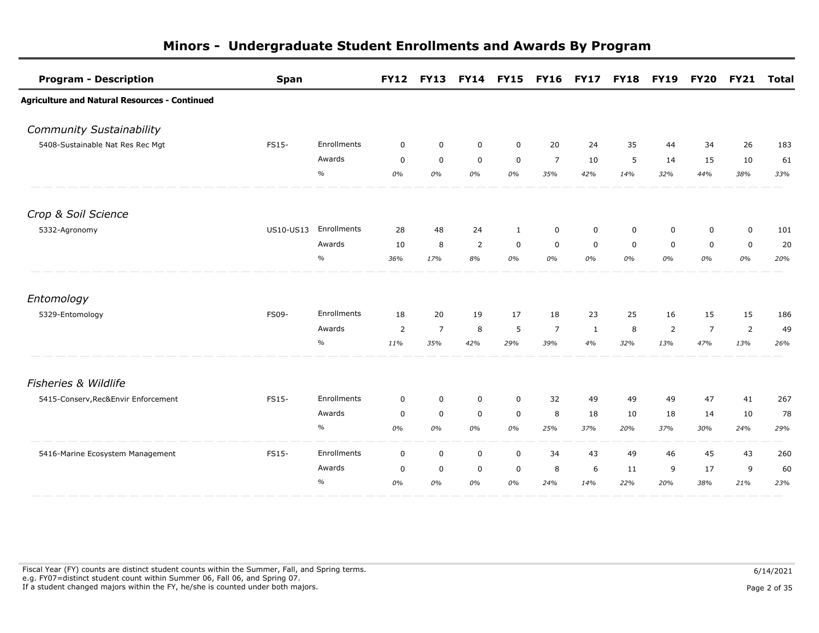| <b>Program - Description</b>                         | <b>Span</b>      |             | <b>FY12</b> | <b>FY13</b>    | <b>FY14</b>    | <b>FY15</b> | <b>FY16</b>    | <b>FY17</b>  | <b>FY18</b> | <b>FY19</b> | <b>FY20</b>    | <b>FY21</b>    | Total |
|------------------------------------------------------|------------------|-------------|-------------|----------------|----------------|-------------|----------------|--------------|-------------|-------------|----------------|----------------|-------|
| <b>Agriculture and Natural Resources - Continued</b> |                  |             |             |                |                |             |                |              |             |             |                |                |       |
| <b>Community Sustainability</b>                      |                  |             |             |                |                |             |                |              |             |             |                |                |       |
| 5408-Sustainable Nat Res Rec Mgt                     | FS15-            | Enrollments | $\mathbf 0$ | $\mathbf 0$    | $\mathbf 0$    | $\mathbf 0$ | 20             | 24           | 35          | 44          | 34             | 26             | 183   |
|                                                      |                  | Awards      | $\mathbf 0$ | $\mathbf 0$    | $\mathbf 0$    | $\mathbf 0$ | $\overline{7}$ | 10           | 5           | 14          | 15             | 10             | 61    |
|                                                      |                  | $\%$        | 0%          | 0%             | 0%             | 0%          | 35%            | 42%          | 14%         | 32%         | 44%            | 38%            | 33%   |
| Crop & Soil Science                                  |                  |             |             |                |                |             |                |              |             |             |                |                |       |
| 5332-Agronomy                                        | <b>US10-US13</b> | Enrollments | 28          | 48             | 24             | 1           | $\mathbf 0$    | $\mathbf 0$  | 0           | $\mathbf 0$ | $\mathbf 0$    | $\mathbf 0$    | 101   |
|                                                      |                  | Awards      | 10          | 8              | $\overline{2}$ | $\mathbf 0$ | $\mathbf 0$    | $\mathbf 0$  | $\mathbf 0$ | $\mathbf 0$ | $\mathbf 0$    | $\mathbf 0$    | 20    |
|                                                      |                  | $\%$        | 36%         | 17%            | 8%             | 0%          | 0%             | 0%           | 0%          | 0%          | 0%             | 0%             | 20%   |
| Entomology                                           |                  |             |             |                |                |             |                |              |             |             |                |                |       |
| 5329-Entomology                                      | <b>FS09-</b>     | Enrollments | 18          | 20             | 19             | 17          | 18             | 23           | 25          | 16          | 15             | 15             | 186   |
|                                                      |                  | Awards      | 2           | $\overline{7}$ | 8              | 5           | $\overline{7}$ | $\mathbf{1}$ | 8           | 2           | $\overline{7}$ | $\overline{2}$ | 49    |
|                                                      |                  | $\%$        | 11%         | 35%            | 42%            | 29%         | 39%            | 4%           | 32%         | 13%         | 47%            | 13%            | 26%   |
| <b>Fisheries &amp; Wildlife</b>                      |                  |             |             |                |                |             |                |              |             |             |                |                |       |
| 5415-Conserv, Rec&Envir Enforcement                  | FS15-            | Enrollments | $\mathbf 0$ | $\mathsf 0$    | $\mathbf 0$    | $\mathbf 0$ | 32             | 49           | 49          | 49          | 47             | 41             | 267   |
|                                                      |                  | Awards      | $\mathbf 0$ | 0              | $\mathbf 0$    | $\mathbf 0$ | 8              | 18           | 10          | 18          | 14             | 10             | 78    |
|                                                      |                  | $\%$        | 0%          | 0%             | 0%             | 0%          | 25%            | 37%          | 20%         | 37%         | 30%            | 24%            | 29%   |
| 5416-Marine Ecosystem Management                     | <b>FS15-</b>     | Enrollments | $\mathbf 0$ | 0              | $\mathsf{O}$   | $\mathbf 0$ | 34             | 43           | 49          | 46          | 45             | 43             | 260   |
|                                                      |                  | Awards      | 0           | $\mathbf 0$    | $\mathbf 0$    | 0           | 8              | 6            | 11          | 9           | 17             | 9              | 60    |
|                                                      |                  | $\%$        | 0%          | 0%             | 0%             | 0%          | 24%            | 14%          | 22%         | 20%         | 38%            | 21%            | 23%   |

Fiscal Year (FY) counts are distinct student counts within the Summer, Fall, and Spring terms.  $6/14/2021$  e.g. FY07=distinct student count within Summer 06, Fall 06, and Spring 07. If a student changed majors within the FY, he/she is counted under both majors. Page 2 of 35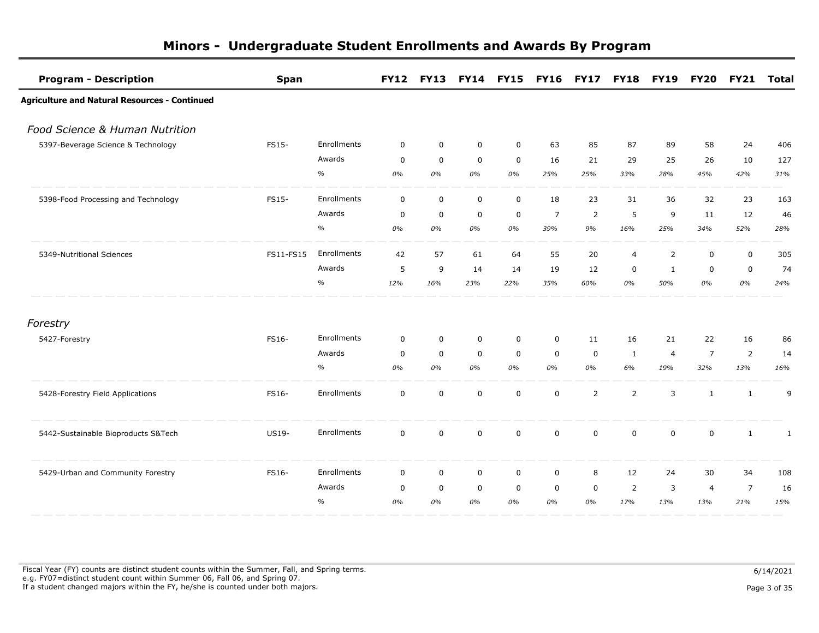| <b>Program - Description</b>                         | <b>Span</b> |             | <b>FY12</b> |             | FY13 FY14 FY15 |             | FY16 FY17 FY18 FY19 |                |                |                | <b>FY20</b>    | <b>FY21</b>    | <b>Total</b> |
|------------------------------------------------------|-------------|-------------|-------------|-------------|----------------|-------------|---------------------|----------------|----------------|----------------|----------------|----------------|--------------|
| <b>Agriculture and Natural Resources - Continued</b> |             |             |             |             |                |             |                     |                |                |                |                |                |              |
| Food Science & Human Nutrition                       |             |             |             |             |                |             |                     |                |                |                |                |                |              |
| 5397-Beverage Science & Technology                   | FS15-       | Enrollments | $\mathbf 0$ | $\mathbf 0$ | $\mathbf 0$    | $\mathbf 0$ | 63                  | 85             | 87             | 89             | 58             | 24             | 406          |
|                                                      |             | Awards      | $\mathbf 0$ | $\mathbf 0$ | $\mathbf 0$    | $\mathbf 0$ | 16                  | 21             | 29             | 25             | 26             | 10             | 127          |
|                                                      |             | $\%$        | 0%          | 0%          | 0%             | 0%          | 25%                 | 25%            | 33%            | 28%            | 45%            | 42%            | 31%          |
| 5398-Food Processing and Technology                  | FS15-       | Enrollments | $\mathbf 0$ | $\mathbf 0$ | $\mathbf 0$    | $\mathbf 0$ | 18                  | 23             | 31             | 36             | 32             | 23             | 163          |
|                                                      |             | Awards      | $\mathbf 0$ | $\mathbf 0$ | $\mathbf 0$    | $\mathbf 0$ | $\overline{7}$      | $\overline{2}$ | 5              | 9              | 11             | 12             | 46           |
|                                                      |             | $\%$        | 0%          | 0%          | 0%             | 0%          | 39%                 | 9%             | 16%            | 25%            | 34%            | 52%            | 28%          |
| 5349-Nutritional Sciences                            | FS11-FS15   | Enrollments | 42          | 57          | 61             | 64          | 55                  | 20             | $\overline{4}$ | $\overline{2}$ | $\pmb{0}$      | $\pmb{0}$      | 305          |
|                                                      |             | Awards      | 5           | 9           | 14             | 14          | 19                  | 12             | $\mathbf 0$    | 1              | $\mathbf 0$    | $\mathbf 0$    | 74           |
|                                                      |             | $\%$        | 12%         | 16%         | 23%            | 22%         | 35%                 | 60%            | 0%             | 50%            | 0%             | $0\%$          | 24%          |
| Forestry                                             |             |             |             |             |                |             |                     |                |                |                |                |                |              |
| 5427-Forestry                                        | FS16-       | Enrollments | $\mathbf 0$ | $\mathbf 0$ | $\mathbf 0$    | $\mathbf 0$ | $\mathbf 0$         | 11             | 16             | 21             | 22             | 16             | 86           |
|                                                      |             | Awards      | $\mathbf 0$ | $\mathbf 0$ | $\mathbf 0$    | $\mathbf 0$ | $\mathbf 0$         | $\mathbf 0$    | $\mathbf{1}$   | $\overline{4}$ | $\overline{7}$ | $\overline{2}$ | 14           |
|                                                      |             | $\%$        | 0%          | 0%          | 0%             | 0%          | 0%                  | 0%             | 6%             | 19%            | 32%            | 13%            | 16%          |
| 5428-Forestry Field Applications                     | FS16-       | Enrollments | $\mathbf 0$ | $\mathbf 0$ | $\mathbf 0$    | $\mathbf 0$ | $\mathbf 0$         | $\overline{2}$ | $\overline{2}$ | 3              | $\mathbf{1}$   | $\mathbf{1}$   | 9            |
| 5442-Sustainable Bioproducts S&Tech                  | US19-       | Enrollments | $\mathbf 0$ | 0           | 0              | 0           | $\mathbf 0$         | $\mathbf 0$    | $\mathbf 0$    | $\mathbf 0$    | $\mathbf 0$    | 1              | $\mathbf{1}$ |
| 5429-Urban and Community Forestry                    | FS16-       | Enrollments | $\mathbf 0$ | $\mathbf 0$ | $\mathbf 0$    | 0           | $\mathbf 0$         | 8              | 12             | 24             | 30             | 34             | 108          |
|                                                      |             | Awards      | 0           | $\mathbf 0$ | $\mathbf 0$    | $\mathbf 0$ | $\mathbf 0$         | $\mathbf 0$    | $\overline{2}$ | 3              | $\overline{4}$ | $\overline{7}$ | 16           |
|                                                      |             | $\%$        | 0%          | 0%          | 0%             | 0%          | 0%                  | 0%             | 17%            | 13%            | 13%            | 21%            | 15%          |

Fiscal Year (FY) counts are distinct student counts within the Summer, Fall, and Spring terms.  $6/14/2021$  e.g. FY07=distinct student count within Summer 06, Fall 06, and Spring 07. If a student changed majors within the FY, he/she is counted under both majors. Page 3 of 35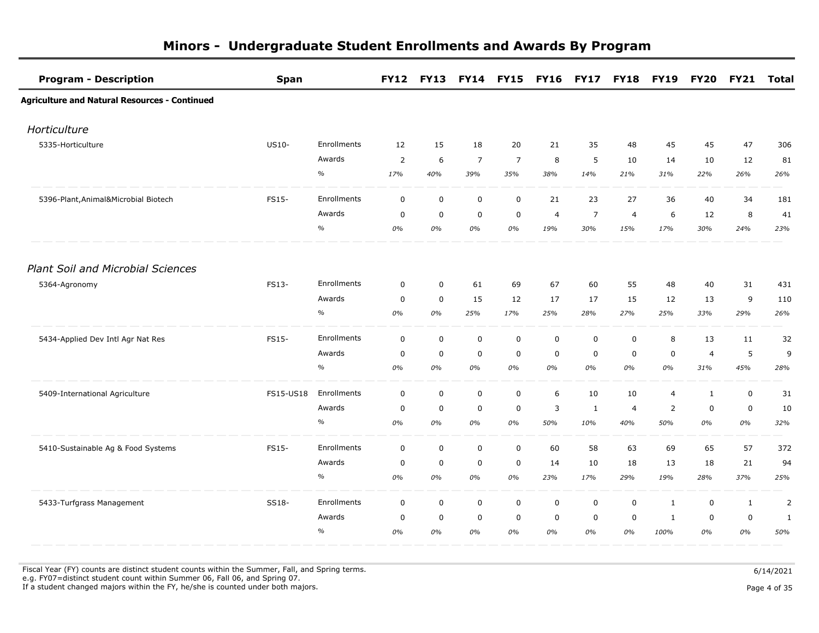| <b>Program - Description</b>                         | <b>Span</b> |             |                |             |                | FY12 FY13 FY14 FY15 FY16 FY17 FY18 FY19 |                |                |                |                |                | FY20 FY21 Total |                |
|------------------------------------------------------|-------------|-------------|----------------|-------------|----------------|-----------------------------------------|----------------|----------------|----------------|----------------|----------------|-----------------|----------------|
| <b>Agriculture and Natural Resources - Continued</b> |             |             |                |             |                |                                         |                |                |                |                |                |                 |                |
| Horticulture                                         |             |             |                |             |                |                                         |                |                |                |                |                |                 |                |
| 5335-Horticulture                                    | US10-       | Enrollments | 12             | 15          | 18             | 20                                      | 21             | 35             | 48             | 45             | 45             | 47              | 306            |
|                                                      |             | Awards      | $\overline{2}$ | 6           | $\overline{7}$ | $\overline{7}$                          | 8              | 5              | 10             | 14             | 10             | 12              | 81             |
|                                                      |             | $\%$        | 17%            | 40%         | 39%            | 35%                                     | 38%            | 14%            | 21%            | 31%            | 22%            | 26%             | 26%            |
| 5396-Plant, Animal&Microbial Biotech                 | FS15-       | Enrollments | $\mathbf 0$    | $\mathbf 0$ | $\mathbf 0$    | $\mathbf 0$                             | 21             | 23             | 27             | 36             | 40             | 34              | 181            |
|                                                      |             | Awards      | $\mathbf 0$    | $\mathbf 0$ | $\mathbf 0$    | $\mathbf 0$                             | $\overline{4}$ | $\overline{7}$ | $\overline{4}$ | 6              | 12             | 8               | 41             |
|                                                      |             | $\%$        | 0%             | 0%          | 0%             | 0%                                      | 19%            | 30%            | 15%            | 17%            | 30%            | 24%             | 23%            |
| <b>Plant Soil and Microbial Sciences</b>             |             |             |                |             |                |                                         |                |                |                |                |                |                 |                |
| 5364-Agronomy                                        | FS13-       | Enrollments | $\mathbf 0$    | $\mathbf 0$ | 61             | 69                                      | 67             | 60             | 55             | 48             | 40             | 31              | 431            |
|                                                      |             | Awards      | $\mathbf 0$    | $\mathbf 0$ | 15             | 12                                      | 17             | 17             | 15             | 12             | 13             | 9               | 110            |
|                                                      |             | $\%$        | 0%             | 0%          | 25%            | 17%                                     | 25%            | 28%            | 27%            | 25%            | 33%            | 29%             | 26%            |
| 5434-Applied Dev Intl Agr Nat Res                    | FS15-       | Enrollments | $\mathbf 0$    | $\mathbf 0$ | $\mathbf 0$    | $\mathbf 0$                             | $\mathbf 0$    | $\mathsf 0$    | $\mathbf 0$    | 8              | 13             | 11              | 32             |
|                                                      |             | Awards      | $\overline{0}$ | $\mathbf 0$ | $\mathbf 0$    | $\mathsf 0$                             | $\mathbf 0$    | $\mathbf 0$    | $\mathbf 0$    | $\mathbf 0$    | $\overline{4}$ | 5               | 9              |
|                                                      |             | $\%$        | 0%             | 0%          | 0%             | 0%                                      | 0%             | 0%             | 0%             | 0%             | 31%            | 45%             | 28%            |
| 5409-International Agriculture                       | FS15-US18   | Enrollments | $\mathbf 0$    | $\mathbf 0$ | $\mathsf 0$    | $\mathbf 0$                             | 6              | 10             | 10             | $\overline{4}$ | $\mathbf{1}$   | $\mathsf 0$     | 31             |
|                                                      |             | Awards      | $\mathbf 0$    | $\mathbf 0$ | $\mathbf 0$    | 0                                       | 3              | $\mathbf{1}$   | $\overline{4}$ | $\overline{2}$ | $\mathbf 0$    | $\mathbf 0$     | 10             |
|                                                      |             | $\%$        | 0%             | 0%          | 0%             | 0%                                      | 50%            | 10%            | 40%            | 50%            | 0%             | 0%              | 32%            |
| 5410-Sustainable Ag & Food Systems                   | FS15-       | Enrollments | $\mathbf 0$    | $\mathbf 0$ | $\mathsf 0$    | $\mathbf 0$                             | 60             | 58             | 63             | 69             | 65             | 57              | 372            |
|                                                      |             | Awards      | $\mathbf 0$    | 0           | $\pmb{0}$      | 0                                       | 14             | 10             | 18             | 13             | 18             | 21              | 94             |
|                                                      |             | $\%$        | 0%             | 0%          | 0%             | 0%                                      | 23%            | 17%            | 29%            | 19%            | 28%            | 37%             | 25%            |
| 5433-Turfgrass Management                            | SS18-       | Enrollments | $\mathbf 0$    | $\mathbf 0$ | $\mathbf 0$    | $\mathbf 0$                             | $\mathbf 0$    | $\mathbf 0$    | $\mathbf 0$    | $\mathbf{1}$   | $\pmb{0}$      | $1\,$           | $\overline{2}$ |
|                                                      |             | Awards      | $\mathbf 0$    | $\mathsf 0$ | $\mathsf 0$    | $\mathsf{O}\xspace$                     | 0              | 0              | $\mathbf 0$    | 1              | $\pmb{0}$      | $\pmb{0}$       | $\mathbf{1}$   |
|                                                      |             | $\%$        | 0%             | 0%          | 0%             | 0%                                      | 0%             | 0%             | 0%             | 100%           | 0%             | 0%              | 50%            |

Fiscal Year (FY) counts are distinct student counts within the Summer, Fall, and Spring terms.  $6/14/2021$ e.g. FY07=distinct student count within Summer 06, Fall 06, and Spring 07.

If a student changed majors within the FY, he/she is counted under both majors. Page 4 of 35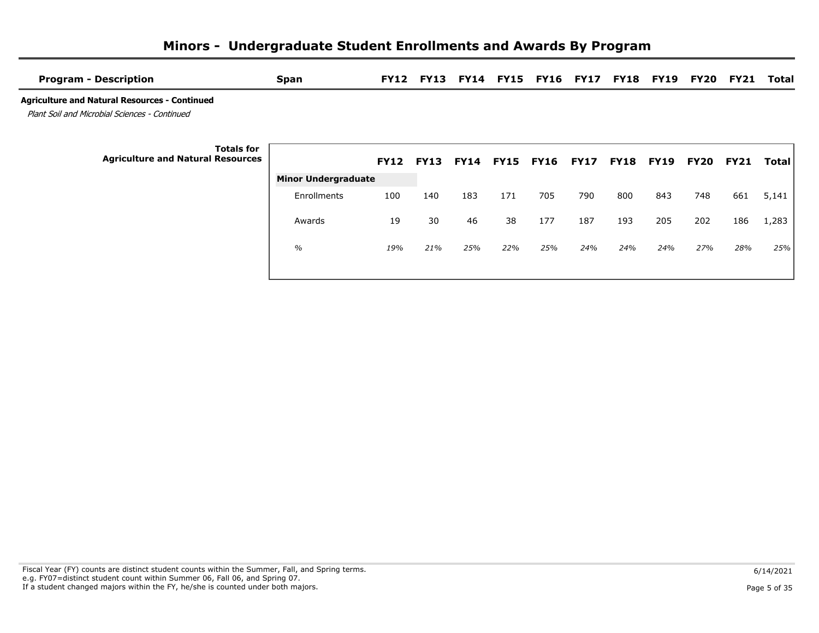| Span          |     | <b>FY13</b>                |             |     |     |                                           |                                           |     | FY20             | <b>FY21</b>      | Total        |
|---------------|-----|----------------------------|-------------|-----|-----|-------------------------------------------|-------------------------------------------|-----|------------------|------------------|--------------|
|               |     |                            |             |     |     |                                           |                                           |     |                  |                  |              |
|               |     |                            |             |     |     |                                           |                                           |     | FY20             | <b>FY21</b>      | <b>Total</b> |
| Enrollments   | 100 | 140                        | 183         | 171 | 705 | 790                                       | 800                                       | 843 | 748              | 661              | 5,141        |
| Awards        | 19  | 30                         | 46          | 38  | 177 | 187                                       | 193                                       | 205 | 202              | 186              | 1,283        |
| $\frac{1}{2}$ | 19% | 21%                        | 25%         | 22% | 25% | 24%                                       | 24%                                       | 24% | 27%              | 28%              | 25%          |
|               |     | <b>Minor Undergraduate</b> | <b>FY12</b> |     |     | <b>FY12 FY13 FY14 FY15</b><br><b>FY16</b> | <b>FY14 FY15 FY16 FY17</b><br><b>FY17</b> |     | <b>FY18 FY19</b> | <b>FY18 FY19</b> |              |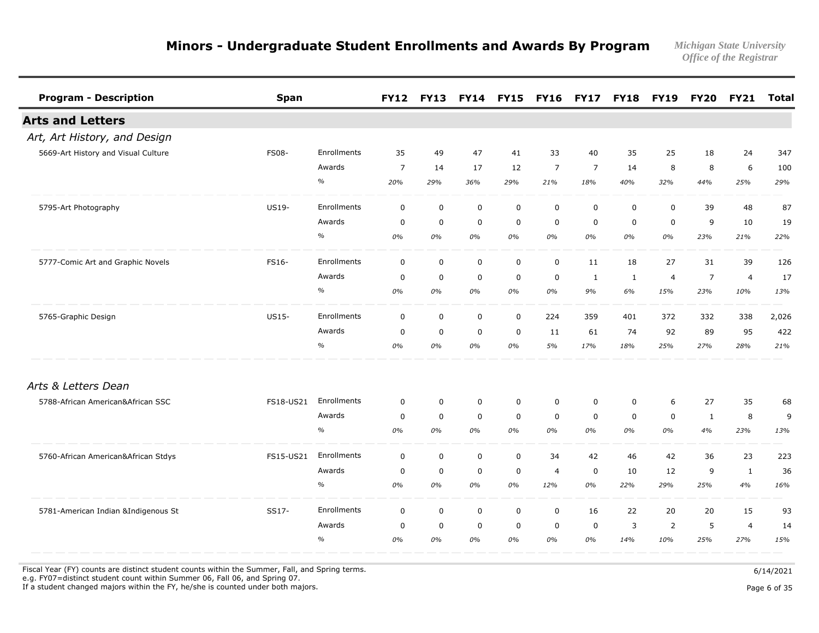| <b>Program - Description</b>        | <b>Span</b>  |               |                | FY12 FY13 FY14 FY15 FY16 FY17 FY18 FY19 |             |             |                |                |             |             |                | <b>FY20 FY21</b> | <b>Total</b> |
|-------------------------------------|--------------|---------------|----------------|-----------------------------------------|-------------|-------------|----------------|----------------|-------------|-------------|----------------|------------------|--------------|
| <b>Arts and Letters</b>             |              |               |                |                                         |             |             |                |                |             |             |                |                  |              |
| Art, Art History, and Design        |              |               |                |                                         |             |             |                |                |             |             |                |                  |              |
| 5669-Art History and Visual Culture | <b>FS08-</b> | Enrollments   | 35             | 49                                      | 47          | 41          | 33             | 40             | 35          | 25          | 18             | 24               | 347          |
|                                     |              | Awards        | $\overline{7}$ | 14                                      | 17          | 12          | $\overline{7}$ | $\overline{7}$ | 14          | 8           | 8              | 6                | 100          |
|                                     |              | $\frac{1}{2}$ | 20%            | 29%                                     | 36%         | 29%         | 21%            | 18%            | 40%         | 32%         | 44%            | 25%              | 29%          |
| 5795-Art Photography                | US19-        | Enrollments   | $\mathbf 0$    | $\mathsf 0$                             | $\mathsf 0$ | $\mathbf 0$ | $\mathbf 0$    | $\mathbf 0$    | $\mathbf 0$ | $\mathbf 0$ | 39             | 48               | 87           |
|                                     |              | Awards        | $\mathbf 0$    | 0                                       | $\mathbf 0$ | $\mathbf 0$ | $\mathbf 0$    | $\mathbf 0$    | $\mathbf 0$ | $\mathbf 0$ | 9              | 10               | 19           |
|                                     |              | $\%$          | 0%             | 0%                                      | 0%          | 0%          | 0%             | 0%             | 0%          | 0%          | 23%            | 21%              | 22%          |
| 5777-Comic Art and Graphic Novels   | FS16-        | Enrollments   | $\mathbf 0$    | $\mathsf 0$                             | $\mathsf 0$ | $\mathbf 0$ | $\mathbf 0$    | 11             | 18          | 27          | 31             | 39               | 126          |
|                                     |              | Awards        | $\mathbf 0$    | $\mathbf 0$                             | $\mathbf 0$ | $\mathbf 0$ | $\mathbf 0$    | 1              | 1           | 4           | $\overline{7}$ | $\overline{4}$   | 17           |
|                                     |              | $\frac{0}{0}$ | 0%             | 0%                                      | 0%          | 0%          | 0%             | 9%             | 6%          | 15%         | 23%            | 10%              | 13%          |
| 5765-Graphic Design                 | US15-        | Enrollments   | $\mathbf 0$    | $\mathsf 0$                             | $\mathbf 0$ | $\mathbf 0$ | 224            | 359            | 401         | 372         | 332            | 338              | 2,026        |
|                                     |              | Awards        | $\mathbf 0$    | $\mathbf 0$                             | $\mathbf 0$ | $\mathbf 0$ | 11             | 61             | 74          | 92          | 89             | 95               | 422          |
|                                     |              | $\%$          | 0%             | 0%                                      | 0%          | 0%          | 5%             | 17%            | 18%         | 25%         | 27%            | 28%              | 21%          |
| Arts & Letters Dean                 |              |               |                |                                         |             |             |                |                |             |             |                |                  |              |
| 5788-African American&African SSC   | FS18-US21    | Enrollments   | $\mathbf 0$    | $\mathbf 0$                             | $\mathbf 0$ | $\mathbf 0$ | $\mathbf 0$    | $\mathbf 0$    | $\mathbf 0$ | 6           | 27             | 35               | 68           |
|                                     |              | Awards        | $\mathbf 0$    | $\mathbf 0$                             | $\mathbf 0$ | $\mathbf 0$ | $\mathbf 0$    | $\Omega$       | $\Omega$    | $\Omega$    | $\mathbf{1}$   | 8                | 9            |
|                                     |              | $\frac{1}{2}$ | 0%             | 0%                                      | 0%          | 0%          | 0%             | 0%             | 0%          | 0%          | 4%             | 23%              | 13%          |
| 5760-African American&African Stdys | FS15-US21    | Enrollments   | $\mathbf 0$    | $\mathsf 0$                             | $\mathsf 0$ | $\mathbf 0$ | 34             | 42             | 46          | 42          | 36             | 23               | 223          |
|                                     |              | Awards        | $\mathbf 0$    | $\mathbf 0$                             | $\mathbf 0$ | 0           | $\overline{4}$ | $\mathbf 0$    | 10          | 12          | 9              | $\mathbf{1}$     | 36           |
|                                     |              | $\%$          | 0%             | 0%                                      | 0%          | 0%          | 12%            | 0%             | 22%         | 29%         | 25%            | 4%               | 16%          |
| 5781-American Indian &Indigenous St | SS17-        | Enrollments   | $\mathbf 0$    | $\mathbf 0$                             | $\mathbf 0$ | $\mathbf 0$ | $\mathbf 0$    | 16             | 22          | 20          | 20             | 15               | 93           |
|                                     |              | Awards        | $\mathbf 0$    | $\mathbf 0$                             | $\mathbf 0$ | $\mathbf 0$ | $\mathbf 0$    | 0              | 3           | 2           | 5              | $\overline{4}$   | 14           |
|                                     |              | $\frac{0}{0}$ | 0%             | 0%                                      | 0%          | 0%          | 0%             | 0%             | 14%         | 10%         | 25%            | 27%              | 15%          |

Fiscal Year (FY) counts are distinct student counts within the Summer, Fall, and Spring terms.  $6/14/2021$ 

e.g. FY07=distinct student count within Summer 06, Fall 06, and Spring 07.

If a student changed majors within the FY, he/she is counted under both majors. Page 6 of 35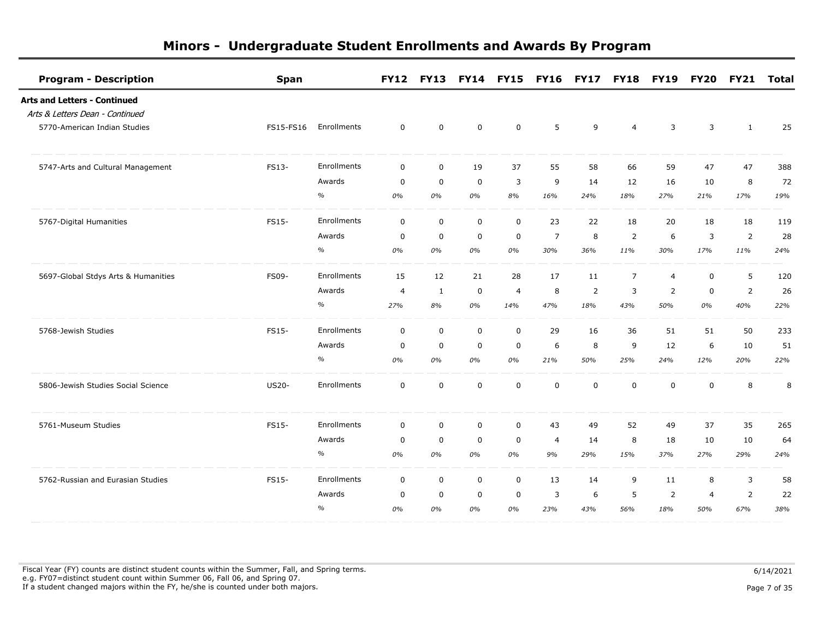| <b>Program - Description</b>        | <b>Span</b>  |             |                | <b>FY12 FY13</b> |             | FY14 FY15 FY16 FY17 FY18 FY19 |                |                |                |                | <b>FY20</b>    | <b>FY21</b>    | Total |
|-------------------------------------|--------------|-------------|----------------|------------------|-------------|-------------------------------|----------------|----------------|----------------|----------------|----------------|----------------|-------|
| <b>Arts and Letters - Continued</b> |              |             |                |                  |             |                               |                |                |                |                |                |                |       |
| Arts & Letters Dean - Continued     |              |             |                |                  |             |                               |                |                |                |                |                |                |       |
| 5770-American Indian Studies        | FS15-FS16    | Enrollments | $\mathbf 0$    | 0                | $\mathbf 0$ | 0                             | 5              | 9              | $\overline{4}$ | 3              | 3              | $\mathbf{1}$   | 25    |
| 5747-Arts and Cultural Management   | FS13-        | Enrollments | $\Omega$       | $\mathbf 0$      | 19          | 37                            | 55             | 58             | 66             | 59             | 47             | 47             | 388   |
|                                     |              | Awards      | $\Omega$       | $\mathbf 0$      | $\mathbf 0$ | 3                             | 9              | 14             | 12             | 16             | 10             | 8              | 72    |
|                                     |              | $\%$        | 0%             | 0%               | 0%          | 8%                            | 16%            | 24%            | 18%            | 27%            | 21%            | 17%            | 19%   |
| 5767-Digital Humanities             | FS15-        | Enrollments | $\mathbf 0$    | $\mathbf 0$      | $\mathbf 0$ | $\mathbf 0$                   | 23             | 22             | 18             | 20             | 18             | 18             | 119   |
|                                     |              | Awards      | $\mathbf 0$    | $\mathbf 0$      | $\mathbf 0$ | 0                             | $\overline{7}$ | 8              | $\overline{2}$ | 6              | 3              | $\overline{2}$ | 28    |
|                                     |              | $\%$        | 0%             | 0%               | 0%          | 0%                            | 30%            | 36%            | 11%            | 30%            | 17%            | 11%            | 24%   |
| 5697-Global Stdys Arts & Humanities | <b>FS09-</b> | Enrollments | 15             | 12               | 21          | 28                            | 17             | 11             | $\overline{7}$ | $\overline{4}$ | $\mathbf 0$    | 5              | 120   |
|                                     |              | Awards      | $\overline{4}$ | $\mathbf{1}$     | $\mathbf 0$ | $\overline{4}$                | 8              | $\overline{2}$ | 3              | $\overline{2}$ | $\mathbf 0$    | $\overline{2}$ | 26    |
|                                     |              | $\%$        | 27%            | 8%               | 0%          | 14%                           | 47%            | 18%            | 43%            | 50%            | 0%             | 40%            | 22%   |
| 5768-Jewish Studies                 | FS15-        | Enrollments | $\mathbf 0$    | $\mathbf 0$      | $\mathbf 0$ | $\mathbf 0$                   | 29             | 16             | 36             | 51             | 51             | 50             | 233   |
|                                     |              | Awards      | 0              | $\mathbf 0$      | $\mathbf 0$ | $\mathbf 0$                   | 6              | 8              | 9              | 12             | 6              | 10             | 51    |
|                                     |              | $\%$        | 0%             | 0%               | 0%          | 0%                            | 21%            | 50%            | 25%            | 24%            | 12%            | 20%            | 22%   |
| 5806-Jewish Studies Social Science  | <b>US20-</b> | Enrollments | $\mathbf 0$    | $\mathbf 0$      | $\mathbf 0$ | $\mathbf 0$                   | $\mathbf 0$    | $\mathbf 0$    | $\mathbf 0$    | $\mathbf 0$    | $\mathbf 0$    | 8              | 8     |
| 5761-Museum Studies                 | FS15-        | Enrollments | $\mathbf 0$    | $\mathsf 0$      | $\mathsf 0$ | $\mathbf 0$                   | 43             | 49             | 52             | 49             | 37             | 35             | 265   |
|                                     |              | Awards      | $\mathbf 0$    | $\mathbf 0$      | $\mathsf 0$ | 0                             | $\overline{4}$ | 14             | 8              | 18             | 10             | 10             | 64    |
|                                     |              | $\%$        | 0%             | 0%               | 0%          | 0%                            | 9%             | 29%            | 15%            | 37%            | 27%            | 29%            | 24%   |
| 5762-Russian and Eurasian Studies   | FS15-        | Enrollments | $\mathbf 0$    | $\mathbf 0$      | 0           | $\mathbf 0$                   | 13             | 14             | 9              | 11             | 8              | 3              | 58    |
|                                     |              | Awards      | $\mathbf 0$    | $\mathbf 0$      | $\mathbf 0$ | $\mathbf 0$                   | 3              | 6              | 5              | $\overline{2}$ | $\overline{4}$ | $\overline{2}$ | 22    |
|                                     |              | $\%$        | 0%             | 0%               | 0%          | 0%                            | 23%            | 43%            | 56%            | 18%            | 50%            | 67%            | 38%   |

Fiscal Year (FY) counts are distinct student counts within the Summer, Fall, and Spring terms.  $6/14/2021$  e.g. FY07=distinct student count within Summer 06, Fall 06, and Spring 07. If a student changed majors within the FY, he/she is counted under both majors. Page 7 of 35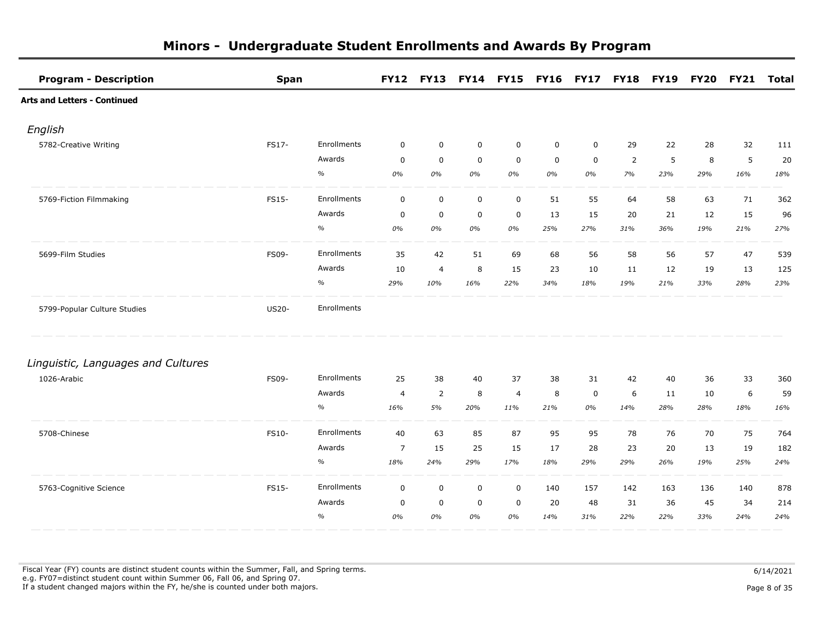| <b>Program - Description</b>        | <b>Span</b>  |             | <b>FY12</b>    |                |             | FY13 FY14 FY15 FY16 FY17 FY18 FY19 FY20 |             |             |                |     |     | <b>FY21</b> | <b>Total</b> |
|-------------------------------------|--------------|-------------|----------------|----------------|-------------|-----------------------------------------|-------------|-------------|----------------|-----|-----|-------------|--------------|
| <b>Arts and Letters - Continued</b> |              |             |                |                |             |                                         |             |             |                |     |     |             |              |
| English                             |              |             |                |                |             |                                         |             |             |                |     |     |             |              |
| 5782-Creative Writing               | FS17-        | Enrollments | $\mathbf 0$    | $\mathbf 0$    | $\mathbf 0$ | $\mathbf 0$                             | $\mathbf 0$ | $\mathbf 0$ | 29             | 22  | 28  | 32          | 111          |
|                                     |              | Awards      | $\mathbf 0$    | $\mathbf 0$    | $\mathbf 0$ | $\mathbf 0$                             | $\mathbf 0$ | $\mathsf 0$ | $\overline{2}$ | 5   | 8   | 5           | 20           |
|                                     |              | $\%$        | 0%             | 0%             | 0%          | 0%                                      | 0%          | 0%          | 7%             | 23% | 29% | 16%         | 18%          |
| 5769-Fiction Filmmaking             | FS15-        | Enrollments | $\mathsf 0$    | $\mathsf 0$    | $\mathsf 0$ | $\mathsf{O}\xspace$                     | 51          | 55          | 64             | 58  | 63  | 71          | 362          |
|                                     |              | Awards      | $\mathbf 0$    | $\mathsf 0$    | $\mathbf 0$ | 0                                       | 13          | 15          | 20             | 21  | 12  | 15          | 96           |
|                                     |              | $\%$        | 0%             | 0%             | 0%          | 0%                                      | 25%         | 27%         | 31%            | 36% | 19% | 21%         | 27%          |
| 5699-Film Studies                   | FS09-        | Enrollments | 35             | 42             | 51          | 69                                      | 68          | 56          | 58             | 56  | 57  | 47          | 539          |
|                                     |              | Awards      | 10             | $\overline{4}$ | 8           | 15                                      | 23          | 10          | 11             | 12  | 19  | 13          | 125          |
|                                     |              | $\%$        | 29%            | 10%            | 16%         | 22%                                     | 34%         | 18%         | 19%            | 21% | 33% | 28%         | 23%          |
| 5799-Popular Culture Studies        | <b>US20-</b> | Enrollments |                |                |             |                                         |             |             |                |     |     |             |              |
| Linguistic, Languages and Cultures  |              |             |                |                |             |                                         |             |             |                |     |     |             |              |
| 1026-Arabic                         | FS09-        | Enrollments | 25             | 38             | 40          | 37                                      | 38          | 31          | 42             | 40  | 36  | 33          | 360          |
|                                     |              | Awards      | $\overline{4}$ | $\overline{2}$ | 8           | $\overline{4}$                          | 8           | $\mathbf 0$ | 6              | 11  | 10  | 6           | 59           |
|                                     |              | $\%$        | 16%            | 5%             | 20%         | 11%                                     | 21%         | 0%          | 14%            | 28% | 28% | 18%         | 16%          |
| 5708-Chinese                        | FS10-        | Enrollments | 40             | 63             | 85          | 87                                      | 95          | 95          | 78             | 76  | 70  | 75          | 764          |
|                                     |              | Awards      | $\overline{7}$ | 15             | 25          | 15                                      | 17          | 28          | 23             | 20  | 13  | 19          | 182          |
|                                     |              | $\%$        | 18%            | 24%            | 29%         | 17%                                     | 18%         | 29%         | 29%            | 26% | 19% | 25%         | 24%          |
| 5763-Cognitive Science              | FS15-        | Enrollments | $\mathbf 0$    | $\mathbf 0$    | $\mathbf 0$ | $\mathbf 0$                             | 140         | 157         | 142            | 163 | 136 | 140         | 878          |
|                                     |              | Awards      | $\mathbf 0$    | $\mathsf 0$    | $\mathbf 0$ | $\mathbf 0$                             | 20          | 48          | 31             | 36  | 45  | 34          | 214          |
|                                     |              | $\%$        | 0%             | 0%             | 0%          | 0%                                      | 14%         | 31%         | 22%            | 22% | 33% | 24%         | 24%          |

Fiscal Year (FY) counts are distinct student counts within the Summer, Fall, and Spring terms.  $6/14/2021$  e.g. FY07=distinct student count within Summer 06, Fall 06, and Spring 07. If a student changed majors within the FY, he/she is counted under both majors. Page 8 of 35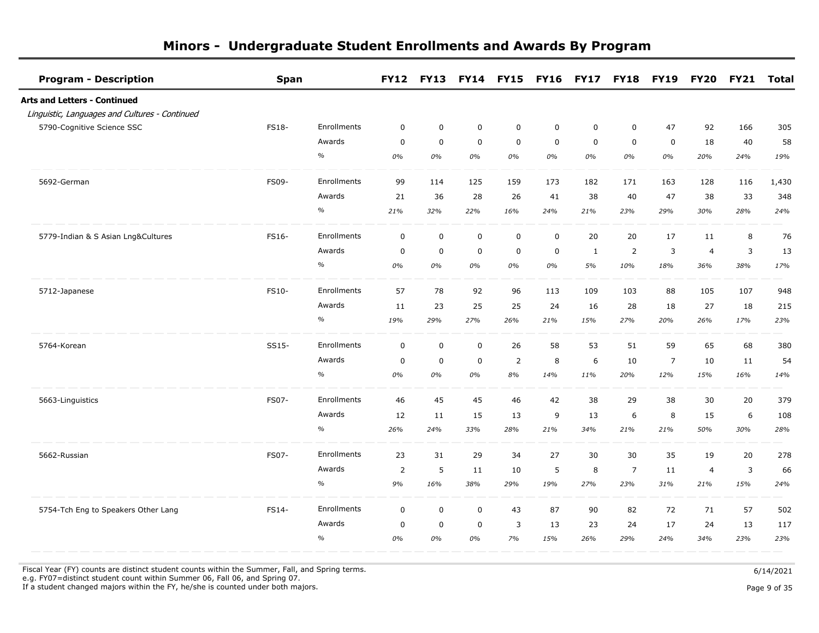| <b>Program - Description</b>                   | <b>Span</b>  |             |             |             |             | FY12 FY13 FY14 FY15 FY16 FY17 FY18 |             |             |                | <b>FY19</b>    | <b>FY20</b>    | <b>FY21</b> | Total |
|------------------------------------------------|--------------|-------------|-------------|-------------|-------------|------------------------------------|-------------|-------------|----------------|----------------|----------------|-------------|-------|
| Arts and Letters - Continued                   |              |             |             |             |             |                                    |             |             |                |                |                |             |       |
| Linguistic, Languages and Cultures - Continued |              |             |             |             |             |                                    |             |             |                |                |                |             |       |
| 5790-Cognitive Science SSC                     | <b>FS18-</b> | Enrollments | $\mathbf 0$ | $\mathbf 0$ | $\mathbf 0$ | 0                                  | $\mathbf 0$ | $\mathbf 0$ | $\mathbf 0$    | 47             | 92             | 166         | 305   |
|                                                |              | Awards      | $\mathbf 0$ | $\mathbf 0$ | $\mathbf 0$ | $\mathbf 0$                        | $\mathbf 0$ | $\mathbf 0$ | $\mathbf 0$    | $\mathbf 0$    | 18             | 40          | 58    |
|                                                |              | $\%$        | 0%          | 0%          | 0%          | 0%                                 | 0%          | 0%          | 0%             | 0%             | 20%            | 24%         | 19%   |
| 5692-German                                    | FS09-        | Enrollments | 99          | 114         | 125         | 159                                | 173         | 182         | 171            | 163            | 128            | 116         | 1,430 |
|                                                |              | Awards      | 21          | 36          | 28          | 26                                 | 41          | 38          | 40             | 47             | 38             | 33          | 348   |
|                                                |              | $\%$        | 21%         | 32%         | 22%         | 16%                                | 24%         | 21%         | 23%            | 29%            | 30%            | 28%         | 24%   |
| 5779-Indian & S Asian Lng&Cultures             | FS16-        | Enrollments | $\pmb{0}$   | $\pmb{0}$   | $\mathsf 0$ | $\mathsf 0$                        | $\mathsf 0$ | 20          | 20             | 17             | 11             | 8           | 76    |
|                                                |              | Awards      | $\mathbf 0$ | $\pmb{0}$   | $\pmb{0}$   | $\mathbf 0$                        | $\mathbf 0$ | 1           | $\overline{2}$ | 3              | $\overline{4}$ | 3           | 13    |
|                                                |              | $\%$        | 0%          | 0%          | 0%          | 0%                                 | 0%          | 5%          | 10%            | 18%            | 36%            | 38%         | 17%   |
| 5712-Japanese                                  | FS10-        | Enrollments | 57          | 78          | 92          | 96                                 | 113         | 109         | 103            | 88             | 105            | 107         | 948   |
|                                                |              | Awards      | 11          | 23          | 25          | 25                                 | 24          | 16          | 28             | 18             | 27             | 18          | 215   |
|                                                |              | $\%$        | 19%         | 29%         | 27%         | 26%                                | 21%         | 15%         | 27%            | 20%            | 26%            | 17%         | 23%   |
| 5764-Korean                                    | SS15-        | Enrollments | $\mathbf 0$ | $\mathbf 0$ | $\mathbf 0$ | 26                                 | 58          | 53          | 51             | 59             | 65             | 68          | 380   |
|                                                |              | Awards      | $\mathbf 0$ | $\mathbf 0$ | $\mathbf 0$ | $\overline{2}$                     | 8           | 6           | 10             | $\overline{7}$ | 10             | 11          | 54    |
|                                                |              | $\%$        | 0%          | 0%          | 0%          | 8%                                 | 14%         | 11%         | 20%            | 12%            | 15%            | 16%         | 14%   |
| 5663-Linguistics                               | FS07-        | Enrollments | 46          | 45          | 45          | 46                                 | 42          | 38          | 29             | 38             | 30             | 20          | 379   |
|                                                |              | Awards      | 12          | 11          | 15          | 13                                 | 9           | 13          | 6              | 8              | 15             | 6           | 108   |
|                                                |              | $\%$        | 26%         | 24%         | 33%         | 28%                                | 21%         | 34%         | 21%            | 21%            | 50%            | 30%         | 28%   |
| 5662-Russian                                   | FS07-        | Enrollments | 23          | 31          | 29          | 34                                 | 27          | 30          | 30             | 35             | 19             | 20          | 278   |
|                                                |              | Awards      | 2           | 5           | 11          | 10                                 | 5           | 8           | $\overline{7}$ | 11             | $\overline{a}$ | 3           | 66    |
|                                                |              | $\%$        | 9%          | 16%         | 38%         | 29%                                | 19%         | 27%         | 23%            | 31%            | 21%            | 15%         | 24%   |
| 5754-Tch Eng to Speakers Other Lang            | FS14-        | Enrollments | $\mathbf 0$ | $\mathbf 0$ | $\mathbf 0$ | 43                                 | 87          | 90          | 82             | 72             | 71             | 57          | 502   |
|                                                |              | Awards      | $\mathbf 0$ | $\mathbf 0$ | $\mathbf 0$ | 3                                  | 13          | 23          | 24             | 17             | 24             | 13          | 117   |
|                                                |              | $\%$        | 0%          | 0%          | 0%          | 7%                                 | 15%         | 26%         | 29%            | 24%            | 34%            | 23%         | 23%   |

Fiscal Year (FY) counts are distinct student counts within the Summer, Fall, and Spring terms.  $6/14/2021$ 

 e.g. FY07=distinct student count within Summer 06, Fall 06, and Spring 07. If a student changed majors within the FY, he/she is counted under both majors. Page 9 of 35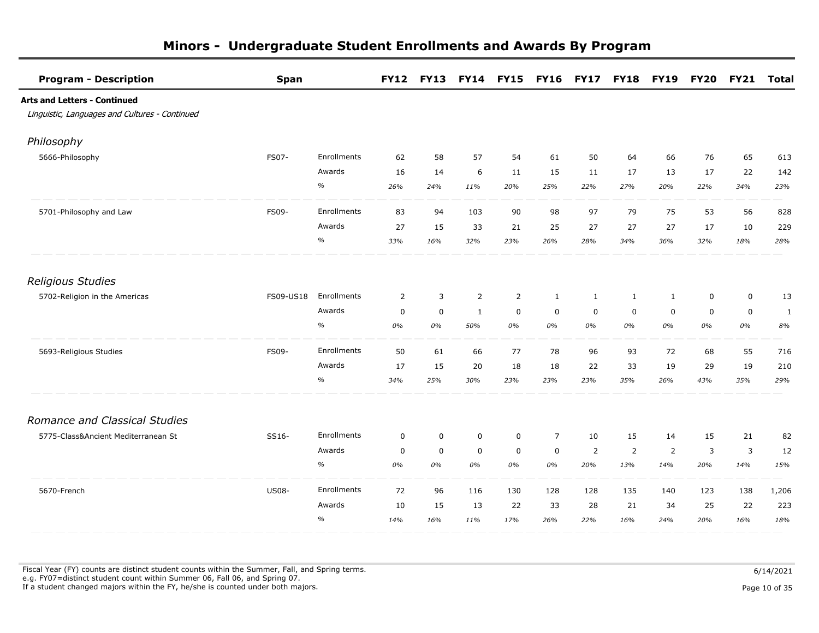| <b>Program - Description</b>                   | <b>Span</b>  |             | <b>FY12</b>    | <b>FY13</b> |                | <b>FY14 FY15</b> | <b>FY16 FY17</b> |                | <b>FY18</b>    | <b>FY19</b>    | <b>FY20</b> | <b>FY21</b> | <b>Total</b> |
|------------------------------------------------|--------------|-------------|----------------|-------------|----------------|------------------|------------------|----------------|----------------|----------------|-------------|-------------|--------------|
| <b>Arts and Letters - Continued</b>            |              |             |                |             |                |                  |                  |                |                |                |             |             |              |
| Linguistic, Languages and Cultures - Continued |              |             |                |             |                |                  |                  |                |                |                |             |             |              |
| Philosophy                                     |              |             |                |             |                |                  |                  |                |                |                |             |             |              |
| 5666-Philosophy                                | FS07-        | Enrollments | 62             | 58          | 57             | 54               | 61               | 50             | 64             | 66             | 76          | 65          | 613          |
|                                                |              | Awards      | 16             | 14          | 6              | 11               | 15               | 11             | 17             | 13             | 17          | 22          | 142          |
|                                                |              | $\%$        | 26%            | 24%         | 11%            | 20%              | 25%              | 22%            | 27%            | 20%            | 22%         | 34%         | 23%          |
| 5701-Philosophy and Law                        | FS09-        | Enrollments | 83             | 94          | 103            | 90               | 98               | 97             | 79             | 75             | 53          | 56          | 828          |
|                                                |              | Awards      | 27             | 15          | 33             | 21               | 25               | 27             | 27             | 27             | 17          | 10          | 229          |
|                                                |              | $\%$        | 33%            | 16%         | 32%            | 23%              | 26%              | 28%            | 34%            | 36%            | 32%         | 18%         | 28%          |
| <b>Religious Studies</b>                       |              |             |                |             |                |                  |                  |                |                |                |             |             |              |
| 5702-Religion in the Americas                  | FS09-US18    | Enrollments | $\overline{2}$ | 3           | $\overline{2}$ | $\overline{2}$   | 1                | $\mathbf{1}$   | $\mathbf{1}$   | $\mathbf{1}$   | $\pmb{0}$   | $\pmb{0}$   | 13           |
|                                                |              | Awards      | $\mathbf 0$    | $\mathbf 0$ | $\mathbf{1}$   | $\mathbf 0$      | $\mathbf 0$      | $\mathbf 0$    | $\mathbf 0$    | $\mathbf 0$    | $\mathbf 0$ | $\mathbf 0$ | 1            |
|                                                |              | $\%$        | 0%             | 0%          | 50%            | 0%               | 0%               | 0%             | 0%             | 0%             | 0%          | 0%          | 8%           |
| 5693-Religious Studies                         | <b>FS09-</b> | Enrollments | 50             | 61          | 66             | 77               | 78               | 96             | 93             | 72             | 68          | 55          | 716          |
|                                                |              | Awards      | 17             | 15          | 20             | 18               | 18               | 22             | 33             | 19             | 29          | 19          | 210          |
|                                                |              | $\%$        | 34%            | 25%         | 30%            | 23%              | 23%              | 23%            | 35%            | 26%            | 43%         | 35%         | 29%          |
| Romance and Classical Studies                  |              |             |                |             |                |                  |                  |                |                |                |             |             |              |
| 5775-Class&Ancient Mediterranean St            | SS16-        | Enrollments | $\mathbf 0$    | $\mathbf 0$ | $\mathbf 0$    | $\mathbf 0$      | $\overline{7}$   | 10             | 15             | 14             | 15          | 21          | 82           |
|                                                |              | Awards      | $\mathbf 0$    | $\mathbf 0$ | $\mathbf 0$    | $\mathbf 0$      | $\mathbf 0$      | $\overline{2}$ | $\overline{2}$ | $\overline{2}$ | 3           | 3           | 12           |
|                                                |              | $\%$        | 0%             | 0%          | 0%             | 0%               | 0%               | 20%            | 13%            | 14%            | 20%         | 14%         | 15%          |
| 5670-French                                    | <b>US08-</b> | Enrollments | 72             | 96          | 116            | 130              | 128              | 128            | 135            | 140            | 123         | 138         | 1,206        |
|                                                |              | Awards      | 10             | 15          | 13             | 22               | 33               | 28             | 21             | 34             | 25          | 22          | 223          |
|                                                |              | $\%$        | 14%            | 16%         | 11%            | 17%              | 26%              | 22%            | 16%            | 24%            | 20%         | 16%         | 18%          |

Fiscal Year (FY) counts are distinct student counts within the Summer, Fall, and Spring terms.  $6/14/2021$  e.g. FY07=distinct student count within Summer 06, Fall 06, and Spring 07. If a student changed majors within the FY, he/she is counted under both majors. Page 10 of 35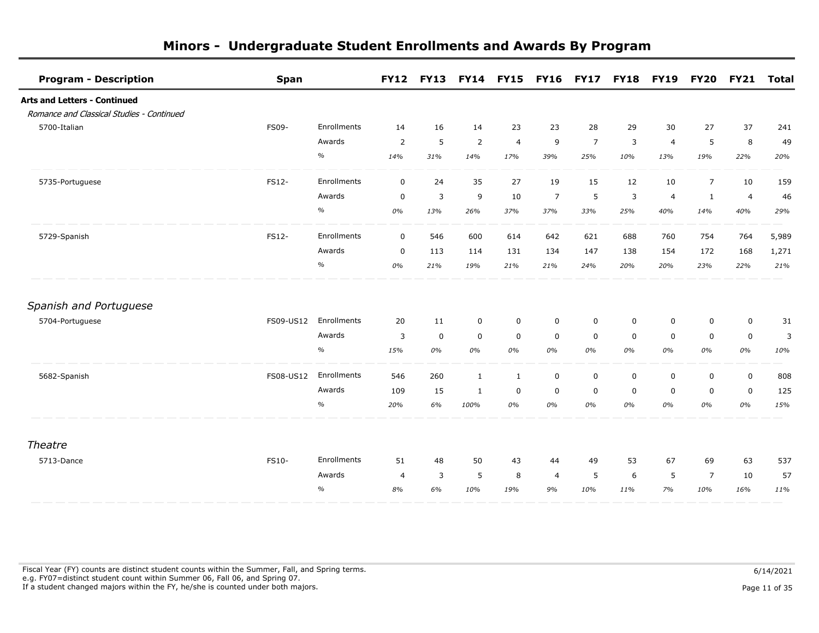| <b>Program - Description</b>              | <b>Span</b>  |             | <b>FY12</b>    | <b>FY13</b> |              | <b>FY14 FY15</b> | <b>FY16 FY17</b> |                | <b>FY18</b> | <b>FY19</b>    | <b>FY20</b>    | <b>FY21</b>    | <b>Total</b> |
|-------------------------------------------|--------------|-------------|----------------|-------------|--------------|------------------|------------------|----------------|-------------|----------------|----------------|----------------|--------------|
| <b>Arts and Letters - Continued</b>       |              |             |                |             |              |                  |                  |                |             |                |                |                |              |
| Romance and Classical Studies - Continued |              |             |                |             |              |                  |                  |                |             |                |                |                |              |
| 5700-Italian                              | FS09-        | Enrollments | 14             | 16          | 14           | 23               | 23               | 28             | 29          | 30             | 27             | 37             | 241          |
|                                           |              | Awards      | 2              | 5           | 2            | $\overline{4}$   | 9                | $\overline{7}$ | 3           | $\overline{4}$ | 5              | 8              | 49           |
|                                           |              | $\%$        | 14%            | 31%         | 14%          | 17%              | 39%              | 25%            | 10%         | 13%            | 19%            | 22%            | 20%          |
| 5735-Portuguese                           | FS12-        | Enrollments | $\mathbf 0$    | 24          | 35           | 27               | 19               | 15             | 12          | 10             | $\overline{7}$ | 10             | 159          |
|                                           |              | Awards      | $\mathbf 0$    | 3           | 9            | 10               | $\overline{7}$   | 5              | 3           | $\overline{4}$ | $\mathbf{1}$   | $\overline{a}$ | 46           |
|                                           |              | $\%$        | 0%             | 13%         | 26%          | 37%              | 37%              | 33%            | 25%         | 40%            | 14%            | 40%            | 29%          |
| 5729-Spanish                              | FS12-        | Enrollments | $\mathbf 0$    | 546         | 600          | 614              | 642              | 621            | 688         | 760            | 754            | 764            | 5,989        |
|                                           |              | Awards      | $\mathbf 0$    | 113         | 114          | 131              | 134              | 147            | 138         | 154            | 172            | 168            | 1,271        |
|                                           |              | $\%$        | 0%             | 21%         | 19%          | 21%              | 21%              | 24%            | 20%         | 20%            | 23%            | 22%            | 21%          |
| Spanish and Portuguese                    |              |             |                |             |              |                  |                  |                |             |                |                |                |              |
| 5704-Portuguese                           | FS09-US12    | Enrollments | 20             | 11          | 0            | 0                | $\mathbf 0$      | 0              | 0           | 0              | $\mathbf 0$    | $\mathsf 0$    | 31           |
|                                           |              | Awards      | 3              | $\mathbf 0$ | $\mathbf 0$  | $\mathbf 0$      | $\mathbf 0$      | $\mathbf 0$    | $\mathbf 0$ | $\mathbf 0$    | $\mathbf 0$    | $\mathbf 0$    | 3            |
|                                           |              | $\%$        | 15%            | 0%          | 0%           | 0%               | 0%               | 0%             | 0%          | 0%             | 0%             | 0%             | 10%          |
| 5682-Spanish                              | FS08-US12    | Enrollments | 546            | 260         | $\mathbf{1}$ | $\mathbf{1}$     | $\mathbf 0$      | $\mathbf 0$    | $\mathbf 0$ | $\mathbf 0$    | $\mathbf 0$    | $\mathbf 0$    | 808          |
|                                           |              | Awards      | 109            | 15          | 1            | 0                | $\mathbf 0$      | 0              | $\mathbf 0$ | 0              | $\mathbf 0$    | $\mathbf 0$    | 125          |
|                                           |              | $\%$        | 20%            | 6%          | 100%         | 0%               | 0%               | 0%             | 0%          | 0%             | 0%             | 0%             | 15%          |
| Theatre                                   |              |             |                |             |              |                  |                  |                |             |                |                |                |              |
| 5713-Dance                                | <b>FS10-</b> | Enrollments | 51             | 48          | 50           | 43               | 44               | 49             | 53          | 67             | 69             | 63             | 537          |
|                                           |              | Awards      | $\overline{4}$ | 3           | 5            | 8                | $\overline{4}$   | 5              | 6           | 5              | $\overline{7}$ | 10             | 57           |
|                                           |              | $\%$        | 8%             | 6%          | 10%          | 19%              | 9%               | 10%            | 11%         | 7%             | 10%            | 16%            | 11%          |
|                                           |              |             |                |             |              |                  |                  |                |             |                |                |                |              |

Fiscal Year (FY) counts are distinct student counts within the Summer, Fall, and Spring terms.  $6/14/2021$  e.g. FY07=distinct student count within Summer 06, Fall 06, and Spring 07. If a student changed majors within the FY, he/she is counted under both majors. Page 11 of 35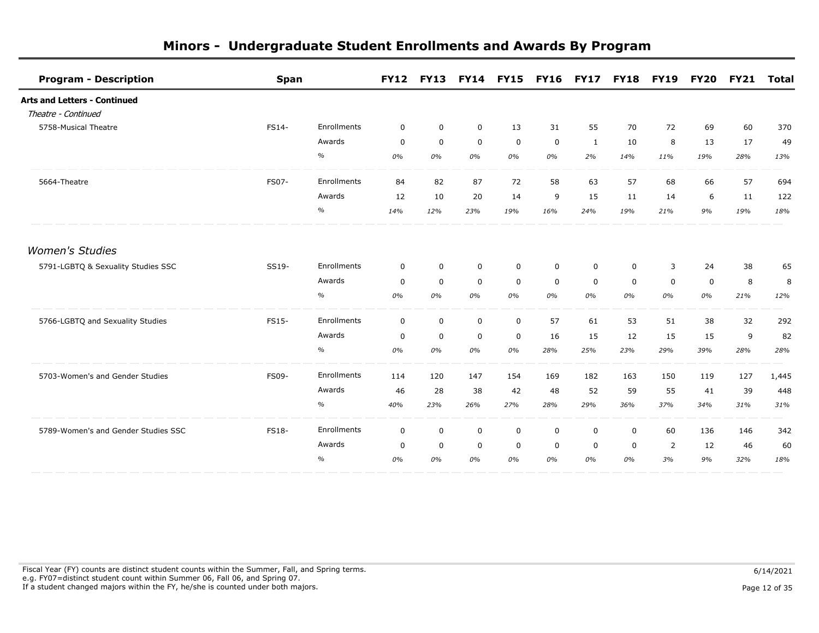| <b>Program - Description</b>        | <b>Span</b>  |             | <b>FY12</b> | <b>FY13</b> |             | <b>FY14 FY15</b> |             | <b>FY16 FY17</b> | <b>FY18</b> | <b>FY19</b> | <b>FY20</b> | <b>FY21</b> | <b>Total</b> |
|-------------------------------------|--------------|-------------|-------------|-------------|-------------|------------------|-------------|------------------|-------------|-------------|-------------|-------------|--------------|
| <b>Arts and Letters - Continued</b> |              |             |             |             |             |                  |             |                  |             |             |             |             |              |
| Theatre - Continued                 |              |             |             |             |             |                  |             |                  |             |             |             |             |              |
| 5758-Musical Theatre                | FS14-        | Enrollments | 0           | $\mathbf 0$ | $\mathbf 0$ | 13               | 31          | 55               | 70          | 72          | 69          | 60          | 370          |
|                                     |              | Awards      | $\mathbf 0$ | $\mathbf 0$ | $\mathbf 0$ | $\mathbf 0$      | $\mathbf 0$ | $\mathbf{1}$     | 10          | 8           | 13          | 17          | 49           |
|                                     |              | $\%$        | 0%          | 0%          | 0%          | 0%               | 0%          | 2%               | 14%         | 11%         | 19%         | 28%         | 13%          |
| 5664-Theatre                        | FS07-        | Enrollments | 84          | 82          | 87          | 72               | 58          | 63               | 57          | 68          | 66          | 57          | 694          |
|                                     |              | Awards      | 12          | 10          | 20          | 14               | 9           | 15               | 11          | 14          | 6           | 11          | 122          |
|                                     |              | $\%$        | 14%         | 12%         | 23%         | 19%              | 16%         | 24%              | 19%         | 21%         | 9%          | 19%         | 18%          |
| <b>Women's Studies</b>              |              |             |             |             |             |                  |             |                  |             |             |             |             |              |
| 5791-LGBTQ & Sexuality Studies SSC  | SS19-        | Enrollments | $\mathbf 0$ | $\mathbf 0$ | $\mathbf 0$ | $\mathbf 0$      | $\mathbf 0$ | $\mathbf 0$      | $\mathbf 0$ | 3           | 24          | 38          | 65           |
|                                     |              | Awards      | 0           | 0           | $\mathbf 0$ | 0                | $\mathbf 0$ | $\mathbf 0$      | $\mathbf 0$ | 0           | $\mathbf 0$ | 8           | 8            |
|                                     |              | $\%$        | 0%          | 0%          | 0%          | 0%               | 0%          | 0%               | 0%          | 0%          | 0%          | 21%         | 12%          |
| 5766-LGBTQ and Sexuality Studies    | <b>FS15-</b> | Enrollments | $\mathbf 0$ | $\mathbf 0$ | $\mathbf 0$ | $\mathbf 0$      | 57          | 61               | 53          | 51          | 38          | 32          | 292          |
|                                     |              | Awards      | $\mathbf 0$ | $\mathbf 0$ | $\mathbf 0$ | $\mathbf 0$      | 16          | 15               | 12          | 15          | 15          | 9           | 82           |
|                                     |              | $\%$        | 0%          | 0%          | 0%          | 0%               | 28%         | 25%              | 23%         | 29%         | 39%         | 28%         | 28%          |
| 5703-Women's and Gender Studies     | FS09-        | Enrollments | 114         | 120         | 147         | 154              | 169         | 182              | 163         | 150         | 119         | 127         | 1,445        |
|                                     |              | Awards      | 46          | 28          | 38          | 42               | 48          | 52               | 59          | 55          | 41          | 39          | 448          |
|                                     |              | $\%$        | 40%         | 23%         | 26%         | 27%              | 28%         | 29%              | 36%         | 37%         | 34%         | 31%         | 31%          |
| 5789-Women's and Gender Studies SSC | FS18-        | Enrollments | $\mathbf 0$ | $\mathbf 0$ | $\mathbf 0$ | $\mathbf 0$      | $\mathbf 0$ | $\mathbf 0$      | 0           | 60          | 136         | 146         | 342          |
|                                     |              | Awards      | 0           | $\mathbf 0$ | $\mathbf 0$ | 0                | $\mathbf 0$ | 0                | $\mathbf 0$ | 2           | 12          | 46          | 60           |
|                                     |              | $\%$        | 0%          | 0%          | 0%          | 0%               | 0%          | 0%               | 0%          | 3%          | 9%          | 32%         | 18%          |

Fiscal Year (FY) counts are distinct student counts within the Summer, Fall, and Spring terms.  $6/14/2021$  e.g. FY07=distinct student count within Summer 06, Fall 06, and Spring 07. If a student changed majors within the FY, he/she is counted under both majors. Page 12 of 35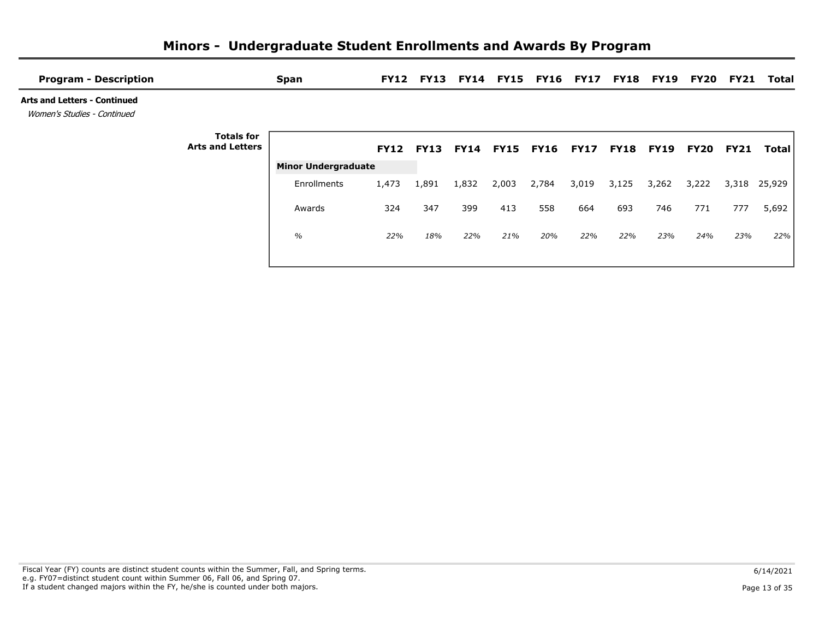| <b>Program - Description</b>                                       |                                              | <b>Span</b>                | <b>FY12</b> |                          |       |       | <b>FY13 FY14 FY15 FY16 FY17</b> |             |       | <b>FY18 FY19</b> | <b>FY20</b> | <b>FY21</b> | Total  |
|--------------------------------------------------------------------|----------------------------------------------|----------------------------|-------------|--------------------------|-------|-------|---------------------------------|-------------|-------|------------------|-------------|-------------|--------|
| <b>Arts and Letters - Continued</b><br>Women's Studies - Continued |                                              |                            |             |                          |       |       |                                 |             |       |                  |             |             |        |
|                                                                    | <b>Totals for</b><br><b>Arts and Letters</b> |                            |             | FY12 FY13 FY14 FY15 FY16 |       |       |                                 | <b>FY17</b> |       | <b>FY18 FY19</b> | <b>FY20</b> | <b>FY21</b> | Total  |
|                                                                    |                                              | <b>Minor Undergraduate</b> |             |                          |       |       |                                 |             |       |                  |             |             |        |
|                                                                    |                                              | Enrollments                | 1,473       | 1,891                    | 1,832 | 2,003 | 2,784                           | 3,019       | 3,125 | 3,262            | 3,222       | 3,318       | 25,929 |
|                                                                    |                                              | Awards                     | 324         | 347                      | 399   | 413   | 558                             | 664         | 693   | 746              | 771         | 777         | 5,692  |
|                                                                    |                                              | $\%$                       | 22%         | 18%                      | 22%   | 21%   | 20%                             | 22%         | 22%   | 23%              | 24%         | 23%         | 22%    |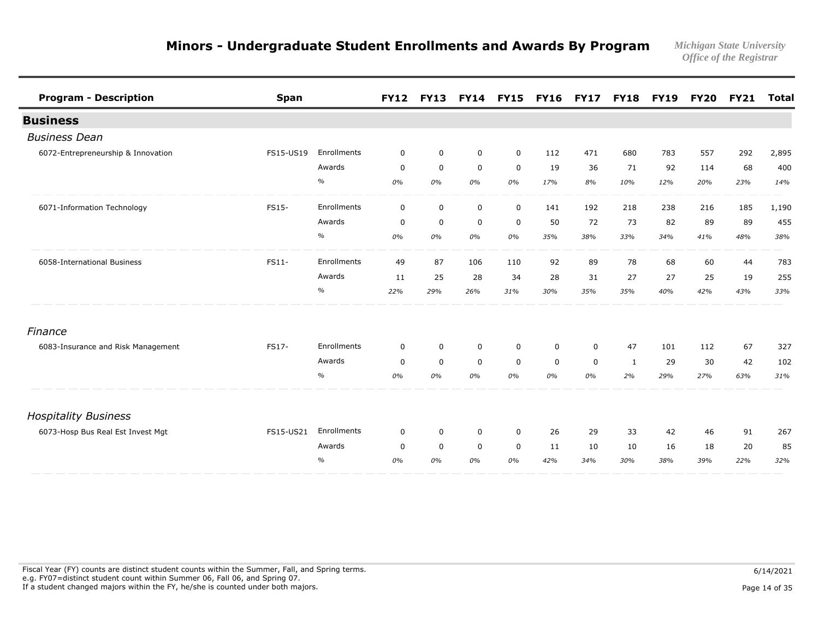| <b>Program - Description</b>       | <b>Span</b> |             |             | FY12 FY13 FY14 FY15 FY16 |             |             |             | <b>FY17</b> | <b>FY18 FY19</b> |     |     | <b>FY20 FY21</b> | <b>Total</b> |
|------------------------------------|-------------|-------------|-------------|--------------------------|-------------|-------------|-------------|-------------|------------------|-----|-----|------------------|--------------|
| <b>Business</b>                    |             |             |             |                          |             |             |             |             |                  |     |     |                  |              |
| <b>Business Dean</b>               |             |             |             |                          |             |             |             |             |                  |     |     |                  |              |
| 6072-Entrepreneurship & Innovation | FS15-US19   | Enrollments | $\mathbf 0$ | $\mathbf 0$              | $\mathbf 0$ | $\mathbf 0$ | 112         | 471         | 680              | 783 | 557 | 292              | 2,895        |
|                                    |             | Awards      | $\mathbf 0$ | $\mathbf 0$              | $\mathbf 0$ | $\mathbf 0$ | 19          | 36          | 71               | 92  | 114 | 68               | 400          |
|                                    |             | $\%$        | 0%          | 0%                       | 0%          | 0%          | 17%         | 8%          | 10%              | 12% | 20% | 23%              | 14%          |
| 6071-Information Technology        | FS15-       | Enrollments | $\mathbf 0$ | $\mathsf 0$              | $\mathsf 0$ | $\mathbf 0$ | 141         | 192         | 218              | 238 | 216 | 185              | 1,190        |
|                                    |             | Awards      | $\mathbf 0$ | $\mathbf 0$              | $\mathbf 0$ | 0           | 50          | 72          | 73               | 82  | 89  | 89               | 455          |
|                                    |             | $\%$        | 0%          | 0%                       | 0%          | 0%          | 35%         | 38%         | 33%              | 34% | 41% | 48%              | 38%          |
| 6058-International Business        | FS11-       | Enrollments | 49          | 87                       | 106         | 110         | 92          | 89          | 78               | 68  | 60  | 44               | 783          |
|                                    |             | Awards      | 11          | 25                       | 28          | 34          | 28          | 31          | 27               | 27  | 25  | 19               | 255          |
|                                    |             | $\%$        | 22%         | 29%                      | 26%         | 31%         | 30%         | 35%         | 35%              | 40% | 42% | 43%              | 33%          |
| Finance                            |             |             |             |                          |             |             |             |             |                  |     |     |                  |              |
| 6083-Insurance and Risk Management | FS17-       | Enrollments | 0           | $\mathbf 0$              | $\mathbf 0$ | $\mathbf 0$ | 0           | $\mathbf 0$ | 47               | 101 | 112 | 67               | 327          |
|                                    |             | Awards      | $\mathbf 0$ | $\mathbf 0$              | $\mathbf 0$ | $\mathbf 0$ | $\mathbf 0$ | $\mathbf 0$ | 1                | 29  | 30  | 42               | 102          |
|                                    |             | $\%$        | 0%          | 0%                       | 0%          | 0%          | 0%          | 0%          | 2%               | 29% | 27% | 63%              | 31%          |
| <b>Hospitality Business</b>        |             |             |             |                          |             |             |             |             |                  |     |     |                  |              |
| 6073-Hosp Bus Real Est Invest Mgt  | FS15-US21   | Enrollments | $\mathbf 0$ | $\mathbf 0$              | 0           | $\mathbf 0$ | 26          | 29          | 33               | 42  | 46  | 91               | 267          |
|                                    |             | Awards      | $\mathbf 0$ | $\mathbf 0$              | $\mathbf 0$ | $\mathbf 0$ | 11          | 10          | 10               | 16  | 18  | 20               | 85           |
|                                    |             | $\%$        | 0%          | 0%                       | 0%          | 0%          | 42%         | 34%         | 30%              | 38% | 39% | 22%              | 32%          |

Fiscal Year (FY) counts are distinct student counts within the Summer, Fall, and Spring terms.  $6/14/2021$  e.g. FY07=distinct student count within Summer 06, Fall 06, and Spring 07. If a student changed majors within the FY, he/she is counted under both majors. Page 14 of 35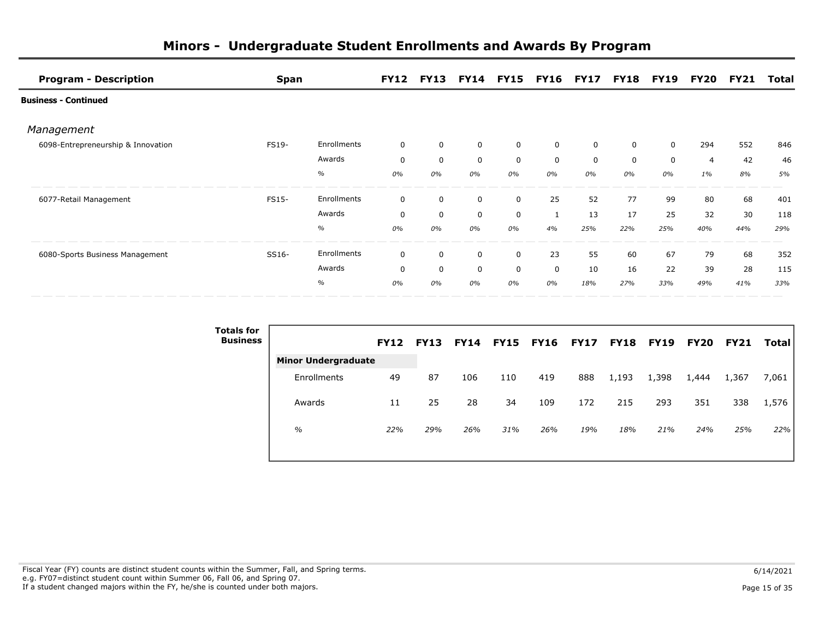| <b>Program - Description</b>       | <b>Span</b>  |             |             |             | FY12 FY13 FY14 FY15 FY16 FY17 FY18 FY19 |    |             |             |             |              |                | <b>FY20 FY21</b> | Total |
|------------------------------------|--------------|-------------|-------------|-------------|-----------------------------------------|----|-------------|-------------|-------------|--------------|----------------|------------------|-------|
| <b>Business - Continued</b>        |              |             |             |             |                                         |    |             |             |             |              |                |                  |       |
| Management                         |              |             |             |             |                                         |    |             |             |             |              |                |                  |       |
| 6098-Entrepreneurship & Innovation | <b>FS19-</b> | Enrollments | $\mathbf 0$ | $\mathbf 0$ | 0                                       | 0  | 0           | $\mathbf 0$ | 0           | 0            | 294            | 552              | 846   |
|                                    |              | Awards      | $\mathbf 0$ | $\mathbf 0$ | $\mathbf 0$                             | 0  | $\mathbf 0$ | $\mathbf 0$ | $\mathbf 0$ | $\mathbf{0}$ | $\overline{4}$ | 42               | 46    |
|                                    |              | $\%$        | 0%          | 0%          | 0%                                      | 0% | 0%          | 0%          | 0%          | 0%           | $1\%$          | 8%               | 5%    |
| 6077-Retail Management             | FS15-        | Enrollments | $\mathbf 0$ | 0           | $\mathbf 0$                             | 0  | 25          | 52          | 77          | 99           | 80             | 68               | 401   |
|                                    |              | Awards      | $\mathbf 0$ | $\mathbf 0$ | $\mathbf 0$                             | 0  |             | 13          | 17          | 25           | 32             | 30               | 118   |
|                                    |              | $\%$        | 0%          | 0%          | 0%                                      | 0% | 4%          | 25%         | 22%         | 25%          | 40%            | 44%              | 29%   |
| 6080-Sports Business Management    | SS16-        | Enrollments | $\mathbf 0$ | 0           | $\mathbf 0$                             | 0  | 23          | 55          | 60          | 67           | 79             | 68               | 352   |
|                                    |              | Awards      | $\Omega$    | $\mathbf 0$ | $\mathbf 0$                             | 0  | $\mathbf 0$ | 10          | 16          | 22           | 39             | 28               | 115   |
|                                    |              | $\%$        | 0%          | 0%          | 0%                                      | 0% | 0%          | 18%         | 27%         | 33%          | 49%            | 41%              | 33%   |

| <b>Totals for</b><br><b>Business</b> |                            | <b>FY12</b> | <b>FY13</b> | <b>FY14</b> | <b>FY15</b> | <b>FY16 FY17</b> |     | <b>FY18</b> | <b>FY19</b> | <b>FY20</b> | <b>FY21</b> | <b>Total</b> |
|--------------------------------------|----------------------------|-------------|-------------|-------------|-------------|------------------|-----|-------------|-------------|-------------|-------------|--------------|
|                                      | <b>Minor Undergraduate</b> |             |             |             |             |                  |     |             |             |             |             |              |
|                                      | Enrollments                | 49          | 87          | 106         | 110         | 419              | 888 | 1,193       | 1,398       | 1,444       | 1,367       | 7,061        |
|                                      | Awards                     | 11          | 25          | 28          | 34          | 109              | 172 | 215         | 293         | 351         | 338         | 1,576        |
|                                      | $\frac{0}{0}$              | 22%         | 29%         | 26%         | 31%         | 26%              | 19% | 18%         | 21%         | 24%         | 25%         | 22%          |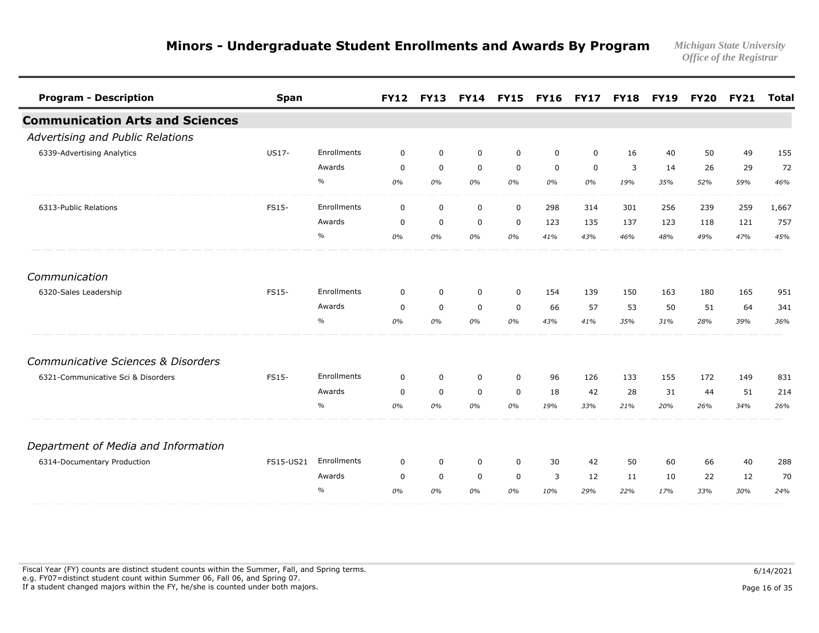| <b>Program - Description</b>           | <b>Span</b>  |               | <b>FY12</b> | <b>FY13</b> |             | <b>FY14 FY15</b> | <b>FY16</b> | <b>FY17</b> | <b>FY18</b> | <b>FY19</b> | <b>FY20</b> | <b>FY21</b> | <b>Total</b> |
|----------------------------------------|--------------|---------------|-------------|-------------|-------------|------------------|-------------|-------------|-------------|-------------|-------------|-------------|--------------|
| <b>Communication Arts and Sciences</b> |              |               |             |             |             |                  |             |             |             |             |             |             |              |
| Advertising and Public Relations       |              |               |             |             |             |                  |             |             |             |             |             |             |              |
| 6339-Advertising Analytics             | <b>US17-</b> | Enrollments   | $\mathbf 0$ | $\mathbf 0$ | $\mathbf 0$ | $\mathbf 0$      | $\mathbf 0$ | $\mathbf 0$ | 16          | 40          | 50          | 49          | 155          |
|                                        |              | Awards        | $\mathbf 0$ | $\mathbf 0$ | $\mathbf 0$ | $\mathbf 0$      | $\mathbf 0$ | $\mathbf 0$ | 3           | 14          | 26          | 29          | 72           |
|                                        |              | $\%$          | 0%          | 0%          | 0%          | 0%               | 0%          | 0%          | 19%         | 35%         | 52%         | 59%         | 46%          |
| 6313-Public Relations                  | FS15-        | Enrollments   | $\mathbf 0$ | $\mathbf 0$ | $\mathbf 0$ | $\mathbf 0$      | 298         | 314         | 301         | 256         | 239         | 259         | 1,667        |
|                                        |              | Awards        | $\mathbf 0$ | $\mathbf 0$ | $\mathbf 0$ | $\mathbf 0$      | 123         | 135         | 137         | 123         | 118         | 121         | 757          |
|                                        |              | $\%$          | 0%          | 0%          | 0%          | 0%               | 41%         | 43%         | 46%         | 48%         | 49%         | 47%         | 45%          |
| Communication                          |              |               |             |             |             |                  |             |             |             |             |             |             |              |
| 6320-Sales Leadership                  | <b>FS15-</b> | Enrollments   | $\mathbf 0$ | $\mathbf 0$ | $\mathbf 0$ | $\mathbf 0$      | 154         | 139         | 150         | 163         | 180         | 165         | 951          |
|                                        |              | Awards        | $\mathbf 0$ | $\mathbf 0$ | $\mathbf 0$ | $\mathbf 0$      | 66          | 57          | 53          | 50          | 51          | 64          | 341          |
|                                        |              | $\%$          | 0%          | 0%          | 0%          | 0%               | 43%         | 41%         | 35%         | 31%         | 28%         | 39%         | 36%          |
| Communicative Sciences & Disorders     |              |               |             |             |             |                  |             |             |             |             |             |             |              |
| 6321-Communicative Sci & Disorders     | FS15-        | Enrollments   | $\mathbf 0$ | $\mathbf 0$ | $\mathbf 0$ | $\mathbf 0$      | 96          | 126         | 133         | 155         | 172         | 149         | 831          |
|                                        |              | Awards        | $\mathbf 0$ | $\mathbf 0$ | $\mathbf 0$ | $\mathbf 0$      | 18          | 42          | 28          | 31          | 44          | 51          | 214          |
|                                        |              | $\%$          | 0%          | 0%          | 0%          | 0%               | 19%         | 33%         | 21%         | 20%         | 26%         | 34%         | 26%          |
| Department of Media and Information    |              |               |             |             |             |                  |             |             |             |             |             |             |              |
| 6314-Documentary Production            | FS15-US21    | Enrollments   | $\mathbf 0$ | $\mathbf 0$ | $\mathbf 0$ | $\mathbf 0$      | 30          | 42          | 50          | 60          | 66          | 40          | 288          |
|                                        |              | Awards        | $\mathbf 0$ | $\mathbf 0$ | $\mathbf 0$ | $\mathbf 0$      | 3           | 12          | 11          | 10          | 22          | 12          | 70           |
|                                        |              | $\frac{0}{0}$ | 0%          | 0%          | 0%          | 0%               | 10%         | 29%         | 22%         | 17%         | 33%         | 30%         | 24%          |

Fiscal Year (FY) counts are distinct student counts within the Summer, Fall, and Spring terms.  $6/14/2021$  e.g. FY07=distinct student count within Summer 06, Fall 06, and Spring 07. If a student changed majors within the FY, he/she is counted under both majors. Page 16 of 35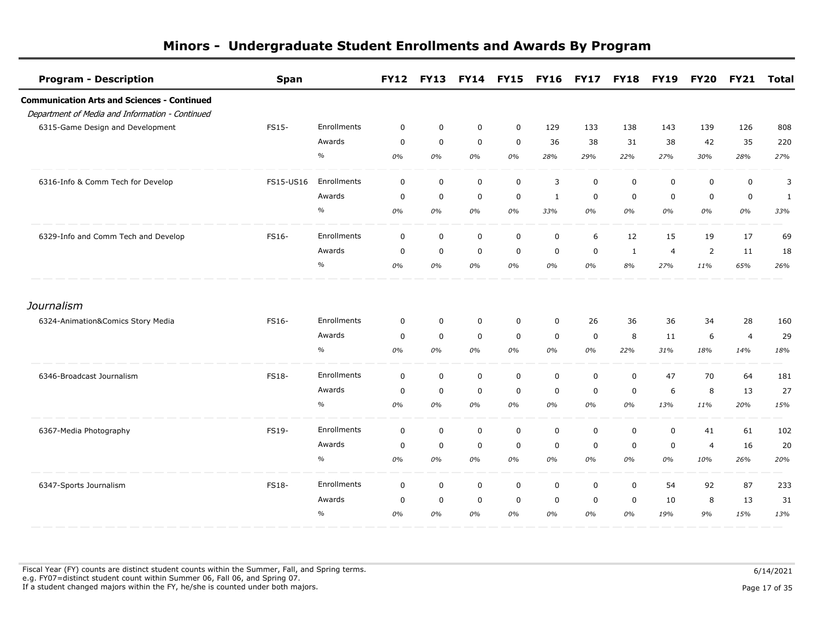| <b>Program - Description</b>                       | <b>Span</b>  |             | <b>FY12</b> | <b>FY13</b> |             | <b>FY14 FY15</b> | <b>FY16 FY17</b> |             | <b>FY18</b> | <b>FY19</b>    | <b>FY20</b>    | <b>FY21</b>    | <b>Total</b> |
|----------------------------------------------------|--------------|-------------|-------------|-------------|-------------|------------------|------------------|-------------|-------------|----------------|----------------|----------------|--------------|
| <b>Communication Arts and Sciences - Continued</b> |              |             |             |             |             |                  |                  |             |             |                |                |                |              |
| Department of Media and Information - Continued    |              |             |             |             |             |                  |                  |             |             |                |                |                |              |
| 6315-Game Design and Development                   | FS15-        | Enrollments | $\mathbf 0$ | $\mathbf 0$ | $\mathbf 0$ | $\mathbf 0$      | 129              | 133         | 138         | 143            | 139            | 126            | 808          |
|                                                    |              | Awards      | $\mathbf 0$ | $\mathbf 0$ | $\mathbf 0$ | $\mathbf 0$      | 36               | 38          | 31          | 38             | 42             | 35             | 220          |
|                                                    |              | $\%$        | 0%          | 0%          | 0%          | 0%               | 28%              | 29%         | 22%         | 27%            | 30%            | 28%            | 27%          |
| 6316-Info & Comm Tech for Develop                  | FS15-US16    | Enrollments | $\mathbf 0$ | $\mathbf 0$ | $\mathbf 0$ | $\mathbf 0$      | 3                | $\mathsf 0$ | $\mathbf 0$ | 0              | $\mathbf 0$    | $\mathbf 0$    | 3            |
|                                                    |              | Awards      | $\mathbf 0$ | $\mathbf 0$ | $\mathbf 0$ | $\mathbf 0$      | $\mathbf{1}$     | $\mathbf 0$ | $\mathbf 0$ | $\mathbf 0$    | $\mathbf 0$    | $\mathbf 0$    | 1            |
|                                                    |              | $\%$        | 0%          | 0%          | 0%          | 0%               | 33%              | 0%          | 0%          | 0%             | 0%             | 0%             | 33%          |
| 6329-Info and Comm Tech and Develop                | FS16-        | Enrollments | $\mathbf 0$ | $\mathbf 0$ | $\mathbf 0$ | $\mathbf 0$      | $\mathbf 0$      | 6           | 12          | 15             | 19             | 17             | 69           |
|                                                    |              | Awards      | 0           | $\mathbf 0$ | $\mathbf 0$ | $\mathbf 0$      | $\mathbf 0$      | 0           | 1           | $\overline{4}$ | 2              | 11             | 18           |
|                                                    |              | $\%$        | 0%          | 0%          | 0%          | 0%               | 0%               | 0%          | 8%          | 27%            | 11%            | 65%            | 26%          |
| Journalism                                         |              |             |             |             |             |                  |                  |             |             |                |                |                |              |
| 6324-Animation&Comics Story Media                  | FS16-        | Enrollments | $\mathbf 0$ | $\mathbf 0$ | $\mathbf 0$ | $\mathbf 0$      | $\mathbf 0$      | 26          | 36          | 36             | 34             | 28             | 160          |
|                                                    |              | Awards      | $\mathbf 0$ | $\mathbf 0$ | $\mathbf 0$ | $\mathbf 0$      | $\mathbf 0$      | $\mathbf 0$ | 8           | 11             | 6              | $\overline{4}$ | 29           |
|                                                    |              | $\%$        | 0%          | 0%          | 0%          | 0%               | 0%               | 0%          | 22%         | 31%            | 18%            | 14%            | 18%          |
| 6346-Broadcast Journalism                          | FS18-        | Enrollments | $\mathbf 0$ | $\mathbf 0$ | $\mathbf 0$ | $\mathbf 0$      | $\mathbf 0$      | 0           | $\mathbf 0$ | 47             | 70             | 64             | 181          |
|                                                    |              | Awards      | $\mathbf 0$ | $\mathbf 0$ | $\mathbf 0$ | $\mathbf 0$      | $\mathbf 0$      | $\mathbf 0$ | $\mathbf 0$ | 6              | 8              | 13             | 27           |
|                                                    |              | $\%$        | 0%          | 0%          | 0%          | 0%               | 0%               | 0%          | 0%          | 13%            | 11%            | 20%            | 15%          |
| 6367-Media Photography                             | FS19-        | Enrollments | $\mathbf 0$ | $\mathbf 0$ | $\mathbf 0$ | $\mathbf 0$      | $\mathbf 0$      | $\mathbf 0$ | $\mathbf 0$ | 0              | 41             | 61             | 102          |
|                                                    |              | Awards      | $\mathbf 0$ | $\mathbf 0$ | $\mathbf 0$ | 0                | $\mathbf 0$      | $\mathbf 0$ | $\mathbf 0$ | $\mathbf 0$    | $\overline{4}$ | 16             | 20           |
|                                                    |              | $\%$        | 0%          | 0%          | 0%          | 0%               | 0%               | 0%          | 0%          | 0%             | 10%            | 26%            | 20%          |
| 6347-Sports Journalism                             | <b>FS18-</b> | Enrollments | $\mathbf 0$ | $\mathbf 0$ | $\mathbf 0$ | $\mathbf 0$      | $\mathbf 0$      | $\mathbf 0$ | $\mathbf 0$ | 54             | 92             | 87             | 233          |
|                                                    |              | Awards      | $\mathbf 0$ | $\mathbf 0$ | $\mathbf 0$ | $\mathbf 0$      | $\mathbf 0$      | $\mathbf 0$ | $\mathbf 0$ | 10             | 8              | 13             | 31           |
|                                                    |              | $\%$        | 0%          | 0%          | 0%          | 0%               | 0%               | 0%          | 0%          | 19%            | 9%             | 15%            | 13%          |

Fiscal Year (FY) counts are distinct student counts within the Summer, Fall, and Spring terms.  $6/14/2021$  e.g. FY07=distinct student count within Summer 06, Fall 06, and Spring 07. If a student changed majors within the FY, he/she is counted under both majors. Page 17 of 35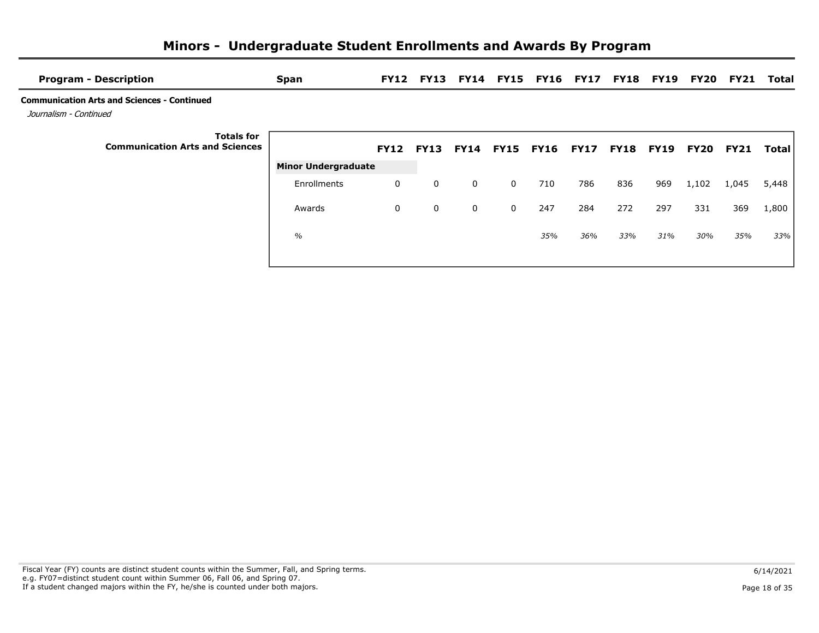| <b>Program - Description</b>                                                 | <b>Span</b>                |             |             |              |                  | FY12 FY13 FY14 FY15 FY16 FY17 |             |             |             | <b>FY18 FY19 FY20</b> | FY21        | Total |
|------------------------------------------------------------------------------|----------------------------|-------------|-------------|--------------|------------------|-------------------------------|-------------|-------------|-------------|-----------------------|-------------|-------|
| <b>Communication Arts and Sciences - Continued</b><br>Journalism - Continued |                            |             |             |              |                  |                               |             |             |             |                       |             |       |
| <b>Totals for</b><br><b>Communication Arts and Sciences</b>                  |                            | <b>FY12</b> | <b>FY13</b> | <b>FY14</b>  | <b>FY15 FY16</b> |                               | <b>FY17</b> | <b>FY18</b> | <b>FY19</b> | <b>FY20</b>           | <b>FY21</b> | Total |
|                                                                              | <b>Minor Undergraduate</b> |             |             |              |                  |                               |             |             |             |                       |             |       |
|                                                                              | Enrollments                | 0           | $\mathbf 0$ | 0            | $\mathbf 0$      | 710                           | 786         | 836         | 969         | 1,102                 | 1,045       | 5,448 |
|                                                                              | Awards                     | 0           | $\mathbf 0$ | $\mathbf{0}$ | $\mathbf{0}$     | 247                           | 284         | 272         | 297         | 331                   | 369         | 1,800 |
|                                                                              | $\frac{0}{0}$              |             |             |              |                  | 35%                           | 36%         | 33%         | 31%         | 30%                   | 35%         | 33%   |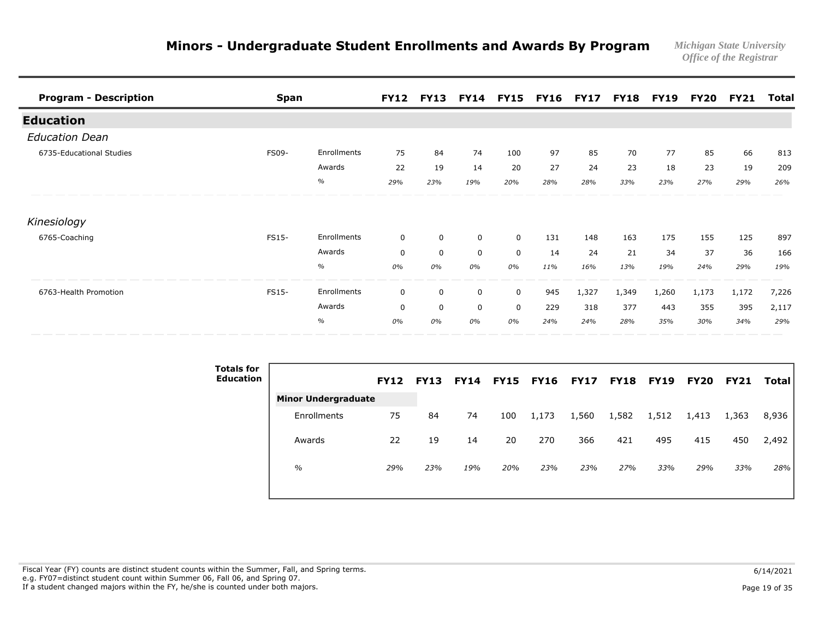| <b>Program - Description</b> | <b>Span</b>  |             |             | FY12 FY13 FY14 FY15 FY16 FY17 FY18 FY19 FY20 FY21 |             |             |     |       |       |       |       |       | Total |
|------------------------------|--------------|-------------|-------------|---------------------------------------------------|-------------|-------------|-----|-------|-------|-------|-------|-------|-------|
| <b>Education</b>             |              |             |             |                                                   |             |             |     |       |       |       |       |       |       |
| <b>Education Dean</b>        |              |             |             |                                                   |             |             |     |       |       |       |       |       |       |
| 6735-Educational Studies     | <b>FS09-</b> | Enrollments | 75          | 84                                                | 74          | 100         | 97  | 85    | 70    | 77    | 85    | 66    | 813   |
|                              |              | Awards      | 22          | 19                                                | 14          | 20          | 27  | 24    | 23    | 18    | 23    | 19    | 209   |
|                              |              | $\%$        | 29%         | 23%                                               | 19%         | 20%         | 28% | 28%   | 33%   | 23%   | 27%   | 29%   | 26%   |
| Kinesiology                  |              |             |             |                                                   |             |             |     |       |       |       |       |       |       |
| 6765-Coaching                | FS15-        | Enrollments | 0           | $\mathbf 0$                                       | $\mathbf 0$ | $\mathbf 0$ | 131 | 148   | 163   | 175   | 155   | 125   | 897   |
|                              |              | Awards      | $\mathbf 0$ | $\mathbf 0$                                       | $\mathbf 0$ | $\mathbf 0$ | 14  | 24    | 21    | 34    | 37    | 36    | 166   |
|                              |              | $\%$        | 0%          | 0%                                                | 0%          | 0%          | 11% | 16%   | 13%   | 19%   | 24%   | 29%   | 19%   |
| 6763-Health Promotion        | FS15-        | Enrollments | $\mathbf 0$ | $\mathbf 0$                                       | $\mathbf 0$ | $\mathbf 0$ | 945 | 1,327 | 1,349 | 1,260 | 1,173 | 1,172 | 7,226 |
|                              |              | Awards      | $\mathbf 0$ | $\mathbf 0$                                       | $\mathbf 0$ | $\mathbf 0$ | 229 | 318   | 377   | 443   | 355   | 395   | 2,117 |
|                              |              | $\%$        | 0%          | 0%                                                | 0%          | 0%          | 24% | 24%   | 28%   | 35%   | 30%   | 34%   | 29%   |

| <b>Totals for</b><br><b>Education</b> |                            | <b>FY12</b> | <b>FY13</b> | <b>FY14</b> | FY15 | <b>FY16</b> | <b>FY17</b> | <b>FY18</b> | <b>FY19</b> | <b>FY20</b> | <b>FY21</b> | Total |
|---------------------------------------|----------------------------|-------------|-------------|-------------|------|-------------|-------------|-------------|-------------|-------------|-------------|-------|
|                                       | <b>Minor Undergraduate</b> |             |             |             |      |             |             |             |             |             |             |       |
|                                       | Enrollments                | 75          | 84          | 74          | 100  | 1,173       | 1,560       | 1,582       | 1,512       | 1,413       | 1,363       | 8,936 |
|                                       | Awards                     | 22          | 19          | 14          | 20   | 270         | 366         | 421         | 495         | 415         | 450         | 2,492 |
|                                       | $\%$                       | 29%         | 23%         | 19%         | 20%  | 23%         | 23%         | 27%         | 33%         | 29%         | 33%         | 28%   |

Fiscal Year (FY) counts are distinct student counts within the Summer, Fall, and Spring terms.  $6/14/2021$  e.g. FY07=distinct student count within Summer 06, Fall 06, and Spring 07. If a student changed majors within the FY, he/she is counted under both majors. Page 19 of 35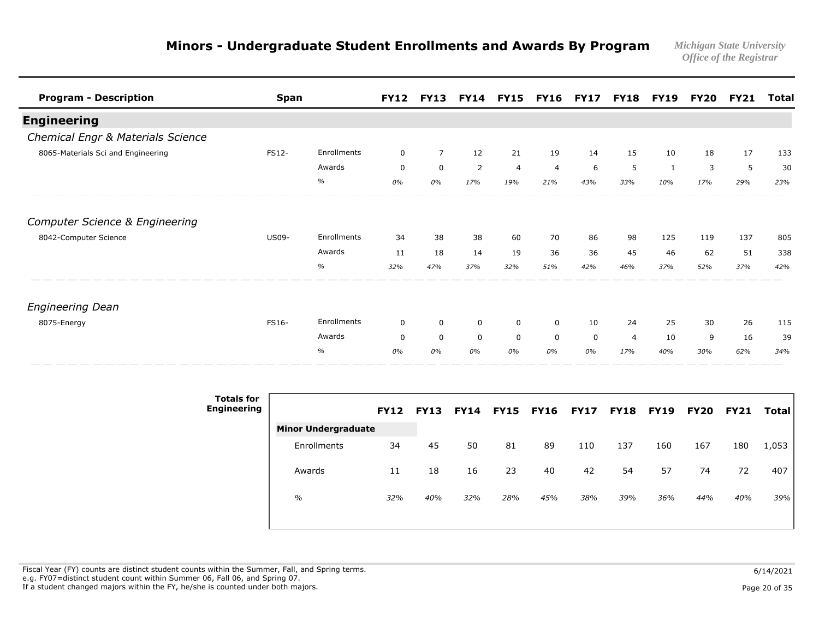| <b>Program - Description</b>              | <b>Span</b>  |               | <b>FY12</b> | <b>FY13</b>    | <b>FY14</b> | <b>FY15</b>    | <b>FY16</b>    | <b>FY17</b> | <b>FY18</b>    | <b>FY19</b> | FY20 | <b>FY21</b> | <b>Total</b> |
|-------------------------------------------|--------------|---------------|-------------|----------------|-------------|----------------|----------------|-------------|----------------|-------------|------|-------------|--------------|
| <b>Engineering</b>                        |              |               |             |                |             |                |                |             |                |             |      |             |              |
| Chemical Engr & Materials Science         |              |               |             |                |             |                |                |             |                |             |      |             |              |
| 8065-Materials Sci and Engineering        | FS12-        | Enrollments   | $\mathbf 0$ | $\overline{7}$ | 12          | 21             | 19             | 14          | 15             | 10          | 18   | 17          | 133          |
|                                           |              | Awards        | 0           | $\mathbf 0$    | 2           | $\overline{4}$ | $\overline{4}$ | 6           | 5              | 1           | 3    | 5           | 30           |
|                                           |              | $\%$          | 0%          | 0%             | 17%         | 19%            | 21%            | 43%         | 33%            | 10%         | 17%  | 29%         | 23%          |
| <b>Computer Science &amp; Engineering</b> |              |               |             |                |             |                |                |             |                |             |      |             |              |
| 8042-Computer Science                     | <b>US09-</b> | Enrollments   | 34          | 38             | 38          | 60             | 70             | 86          | 98             | 125         | 119  | 137         | 805          |
|                                           |              | Awards        | 11          | 18             | 14          | 19             | 36             | 36          | 45             | 46          | 62   | 51          | 338          |
|                                           |              | $\frac{1}{2}$ | 32%         | 47%            | 37%         | 32%            | 51%            | 42%         | 46%            | 37%         | 52%  | 37%         | 42%          |
| <b>Engineering Dean</b>                   |              |               |             |                |             |                |                |             |                |             |      |             |              |
| 8075-Energy                               | <b>FS16-</b> | Enrollments   | 0           | $\mathbf 0$    | 0           | 0              | 0              | 10          | 24             | 25          | 30   | 26          | 115          |
|                                           |              | Awards        | $\mathbf 0$ | $\mathbf 0$    | $\mathbf 0$ | $\mathbf 0$    | $\mathbf 0$    | $\mathbf 0$ | $\overline{4}$ | 10          | 9    | 16          | 39           |
|                                           |              | $\%$          | 0%          | 0%             | 0%          | 0%             | 0%             | 0%          | 17%            | 40%         | 30%  | 62%         | 34%          |

| <b>Totals for</b><br><b>Engineering</b> |                            | <b>FY12</b> | <b>FY13</b> | <b>FY14</b> | <b>FY15</b> | <b>FY16</b> | <b>FY17</b> | <b>FY18</b> | <b>FY19</b> | <b>FY20</b> | <b>FY21</b> | Total |
|-----------------------------------------|----------------------------|-------------|-------------|-------------|-------------|-------------|-------------|-------------|-------------|-------------|-------------|-------|
|                                         | <b>Minor Undergraduate</b> |             |             |             |             |             |             |             |             |             |             |       |
|                                         | Enrollments                | 34          | 45          | 50          | 81          | 89          | 110         | 137         | 160         | 167         | 180         | 1,053 |
|                                         | Awards                     | 11          | 18          | 16          | 23          | 40          | 42          | 54          | 57          | 74          | 72          | 407   |
|                                         | $\%$                       | 32%         | 40%         | 32%         | 28%         | 45%         | 38%         | 39%         | 36%         | 44%         | 40%         | 39%   |
|                                         |                            |             |             |             |             |             |             |             |             |             |             |       |

Fiscal Year (FY) counts are distinct student counts within the Summer, Fall, and Spring terms.  $6/14/2021$  e.g. FY07=distinct student count within Summer 06, Fall 06, and Spring 07. If a student changed majors within the FY, he/she is counted under both majors. Page 20 of 35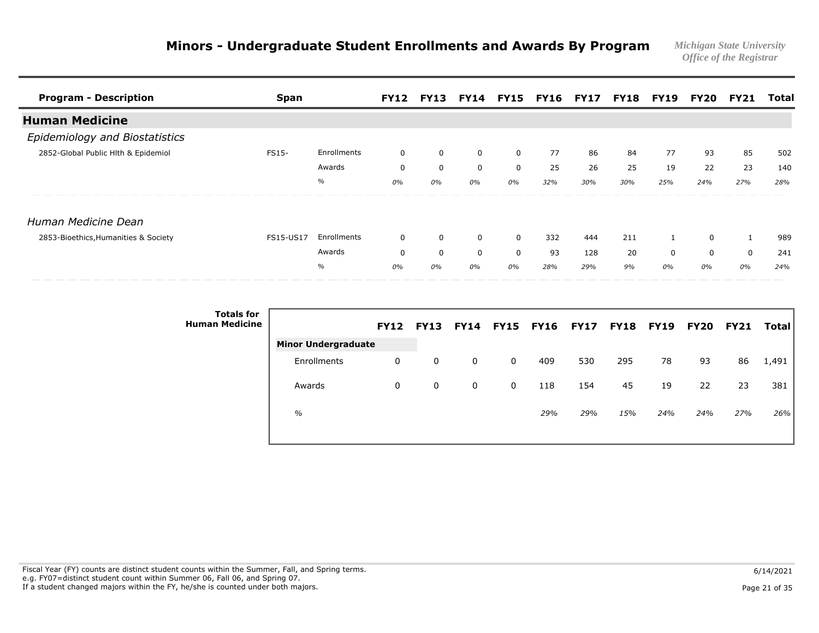| <b>Program - Description</b>         | <b>Span</b>  |             |             | <b>FY12 FY13</b> |             |             | <b>FY14 FY15 FY16 FY17 FY18 FY19</b> |     |     |     | FY20 | FY21 | Total |
|--------------------------------------|--------------|-------------|-------------|------------------|-------------|-------------|--------------------------------------|-----|-----|-----|------|------|-------|
| <b>Human Medicine</b>                |              |             |             |                  |             |             |                                      |     |     |     |      |      |       |
| Epidemiology and Biostatistics       |              |             |             |                  |             |             |                                      |     |     |     |      |      |       |
| 2852-Global Public Hlth & Epidemiol  | <b>FS15-</b> | Enrollments | 0           | 0                | 0           | 0           | 77                                   | 86  | 84  | 77  | 93   | 85   | 502   |
|                                      |              | Awards      | 0           | $\mathbf 0$      | $\mathbf 0$ | $\Omega$    | 25                                   | 26  | 25  | 19  | 22   | 23   | 140   |
|                                      |              | $\%$        | 0%          | 0%               | 0%          | 0%          | 32%                                  | 30% | 30% | 25% | 24%  | 27%  | 28%   |
| Human Medicine Dean                  |              |             |             |                  |             |             |                                      |     |     |     |      |      |       |
| 2853-Bioethics, Humanities & Society | FS15-US17    | Enrollments | $\mathbf 0$ | $\mathbf 0$      | $\mathbf 0$ | $\mathbf 0$ | 332                                  | 444 | 211 |     | 0    | 1    | 989   |
|                                      |              | Awards      | 0           | $\mathbf 0$      | $\mathbf 0$ | 0           | 93                                   | 128 | 20  | 0   | 0    | 0    | 241   |
|                                      |              | $\%$        | 0%          | 0%               | 0%          | 0%          | 28%                                  | 29% | 9%  | 0%  | 0%   | 0%   | 24%   |

| <b>Totals for</b><br><b>Human Medicine</b> |                            | <b>FY12</b> | <b>FY13</b> |   | <b>FY14 FY15</b> | <b>FY16</b> | <b>FY17</b> | <b>FY18 FY19</b> |     | <b>FY20</b> | <b>FY21</b> | Total l |
|--------------------------------------------|----------------------------|-------------|-------------|---|------------------|-------------|-------------|------------------|-----|-------------|-------------|---------|
|                                            | <b>Minor Undergraduate</b> |             |             |   |                  |             |             |                  |     |             |             |         |
|                                            | Enrollments                | 0           | 0           | 0 | 0                | 409         | 530         | 295              | 78  | 93          | 86          | 1,491   |
|                                            | Awards                     | 0           | 0           | 0 | 0                | 118         | 154         | 45               | 19  | 22          | 23          | 381     |
|                                            | $\%$                       |             |             |   |                  | 29%         | 29%         | 15%              | 24% | 24%         | 27%         | 26%     |
|                                            |                            |             |             |   |                  |             |             |                  |     |             |             |         |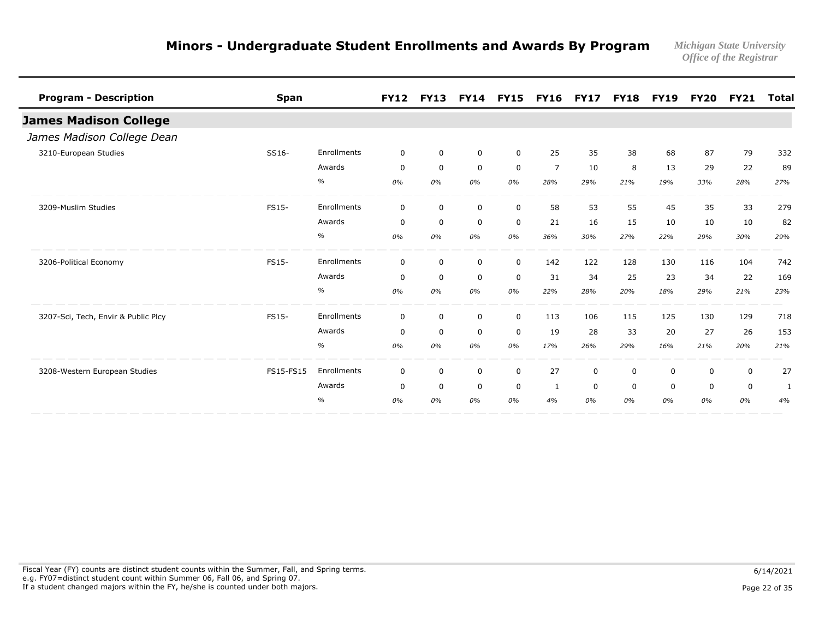| <b>Program - Description</b>        | <b>Span</b> |                    | <b>FY12</b> | <b>FY13</b> |              | FY14 FY15 FY16 FY17 |                |             | <b>FY18</b> | <b>FY19</b>  | <b>FY20</b> | <b>FY21</b> | <b>Total</b> |
|-------------------------------------|-------------|--------------------|-------------|-------------|--------------|---------------------|----------------|-------------|-------------|--------------|-------------|-------------|--------------|
| <b>James Madison College</b>        |             |                    |             |             |              |                     |                |             |             |              |             |             |              |
| James Madison College Dean          |             |                    |             |             |              |                     |                |             |             |              |             |             |              |
| 3210-European Studies               | SS16-       | Enrollments        | $\mathbf 0$ | $\mathbf 0$ | $\mathbf 0$  | $\mathbf 0$         | 25             | 35          | 38          | 68           | 87          | 79          | 332          |
|                                     |             | Awards             | $\mathbf 0$ | $\mathbf 0$ | $\mathsf{O}$ | $\mathbf 0$         | $\overline{7}$ | 10          | 8           | 13           | 29          | 22          | 89           |
|                                     |             | $\%$               | 0%          | 0%          | 0%           | 0%                  | 28%            | 29%         | 21%         | 19%          | 33%         | 28%         | 27%          |
| 3209-Muslim Studies                 | FS15-       | Enrollments        | $\mathbf 0$ | $\mathbf 0$ | $\mathbf 0$  | $\mathbf 0$         | 58             | 53          | 55          | 45           | 35          | 33          | 279          |
|                                     |             | Awards             | $\mathbf 0$ | $\mathbf 0$ | $\mathbf 0$  | $\mathsf{O}$        | 21             | 16          | 15          | 10           | 10          | 10          | 82           |
|                                     |             | $\%$               | 0%          | 0%          | 0%           | 0%                  | 36%            | 30%         | 27%         | 22%          | 29%         | 30%         | 29%          |
| 3206-Political Economy              | FS15-       | <b>Enrollments</b> | $\mathbf 0$ | $\mathbf 0$ | $\mathbf 0$  | $\mathbf 0$         | 142            | 122         | 128         | 130          | 116         | 104         | 742          |
|                                     |             | Awards             | $\mathbf 0$ | $\mathbf 0$ | 0            | 0                   | 31             | 34          | 25          | 23           | 34          | 22          | 169          |
|                                     |             | $\%$               | 0%          | 0%          | 0%           | 0%                  | 22%            | 28%         | 20%         | 18%          | 29%         | 21%         | 23%          |
| 3207-Sci, Tech, Envir & Public Plcy | FS15-       | Enrollments        | $\mathbf 0$ | $\mathbf 0$ | $\mathbf 0$  | $\mathbf 0$         | 113            | 106         | 115         | 125          | 130         | 129         | 718          |
|                                     |             | Awards             | 0           | $\mathbf 0$ | $\mathbf 0$  | $\mathbf 0$         | 19             | 28          | 33          | 20           | 27          | 26          | 153          |
|                                     |             | $\%$               | 0%          | 0%          | 0%           | 0%                  | 17%            | 26%         | 29%         | 16%          | 21%         | 20%         | 21%          |
| 3208-Western European Studies       | FS15-FS15   | Enrollments        | $\mathbf 0$ | $\mathbf 0$ | $\mathbf 0$  | $\mathbf 0$         | 27             | $\mathbf 0$ | $\mathbf 0$ | $\mathbf{0}$ | $\mathbf 0$ | $\mathbf 0$ | 27           |
|                                     |             | Awards             | $\mathbf 0$ | $\mathbf 0$ | $\mathbf 0$  | $\mathbf 0$         | 1              | $\mathbf 0$ | $\mathbf 0$ | 0            | 0           | 0           | 1            |
|                                     |             | $\%$               | 0%          | 0%          | 0%           | 0%                  | 4%             | 0%          | 0%          | 0%           | 0%          | 0%          | 4%           |

Fiscal Year (FY) counts are distinct student counts within the Summer, Fall, and Spring terms.  $6/14/2021$  e.g. FY07=distinct student count within Summer 06, Fall 06, and Spring 07. If a student changed majors within the FY, he/she is counted under both majors. Page 22 of 35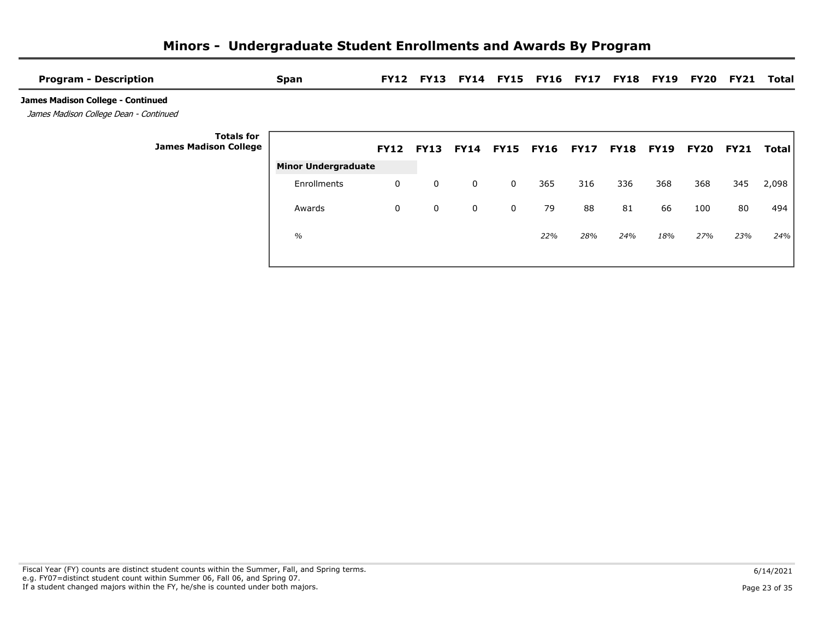| <b>Program - Description</b>                                                | <b>Span</b>                |   |             |             |   | FY12 FY13 FY14 FY15 FY16 FY17 FY18 FY19 FY20 FY21 |     |     |     |      |             | Total |
|-----------------------------------------------------------------------------|----------------------------|---|-------------|-------------|---|---------------------------------------------------|-----|-----|-----|------|-------------|-------|
| James Madison College - Continued<br>James Madison College Dean - Continued |                            |   |             |             |   |                                                   |     |     |     |      |             |       |
| <b>Totals for</b><br><b>James Madison College</b>                           |                            |   |             |             |   | FY12 FY13 FY14 FY15 FY16 FY17 FY18 FY19           |     |     |     | FY20 | <b>FY21</b> | Total |
|                                                                             | <b>Minor Undergraduate</b> |   |             |             |   |                                                   |     |     |     |      |             |       |
|                                                                             | Enrollments                | 0 | $\mathbf 0$ | $\mathbf 0$ | 0 | 365                                               | 316 | 336 | 368 | 368  | 345         | 2,098 |
|                                                                             | Awards                     | 0 | 0           | $\mathbf 0$ | 0 | 79                                                | 88  | 81  | 66  | 100  | 80          | 494   |
|                                                                             | $\frac{0}{0}$              |   |             |             |   | 22%                                               | 28% | 24% | 18% | 27%  | 23%         | 24%   |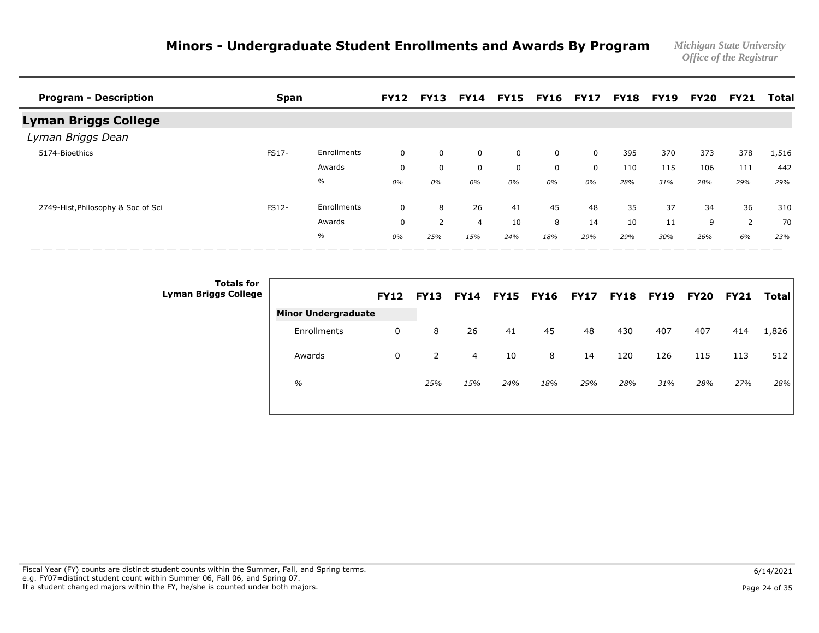| <b>Program - Description</b>       | Span  |             |              | <b>FY12 FY13</b> |                |     | <b>FY14 FY15 FY16 FY17</b> |          | <b>FY18</b> | <b>FY19</b> | FY20 | <b>FY21</b> | Total |
|------------------------------------|-------|-------------|--------------|------------------|----------------|-----|----------------------------|----------|-------------|-------------|------|-------------|-------|
| Lyman Briggs College               |       |             |              |                  |                |     |                            |          |             |             |      |             |       |
| Lyman Briggs Dean                  |       |             |              |                  |                |     |                            |          |             |             |      |             |       |
| 5174-Bioethics                     | FS17- | Enrollments | $\mathbf 0$  | 0                | 0              | 0   | 0                          | $\Omega$ | 395         | 370         | 373  | 378         | 1,516 |
|                                    |       | Awards      | $\mathbf 0$  | 0                | 0              | 0   | 0                          | 0        | 110         | 115         | 106  | 111         | 442   |
|                                    |       | $\%$        | 0%           | 0%               | 0%             | 0%  | 0%                         | 0%       | 28%         | 31%         | 28%  | 29%         | 29%   |
| 2749-Hist, Philosophy & Soc of Sci | FS12- | Enrollments | $\mathbf{0}$ | 8                | 26             | 41  | 45                         | 48       | 35          | 37          | 34   | 36          | 310   |
|                                    |       | Awards      | $\mathbf 0$  | 2                | $\overline{4}$ | 10  | 8                          | 14       | 10          | 11          | 9    | 2           | 70    |
|                                    |       | $\%$        | 0%           | 25%              | 15%            | 24% | 18%                        | 29%      | 29%         | 30%         | 26%  | 6%          | 23%   |

| <b>Totals for</b><br><b>Lyman Briggs College</b> |                            | <b>FY12</b> | <b>FY13</b>    | <b>FY14</b> | <b>FY15 FY16</b> |     | <b>FY17</b> | <b>FY18</b> | <b>FY19</b> | <b>FY20</b> | <b>FY21</b> | <b>Total</b> |
|--------------------------------------------------|----------------------------|-------------|----------------|-------------|------------------|-----|-------------|-------------|-------------|-------------|-------------|--------------|
|                                                  | <b>Minor Undergraduate</b> |             |                |             |                  |     |             |             |             |             |             |              |
|                                                  | Enrollments                | 0           | 8              | 26          | 41               | 45  | 48          | 430         | 407         | 407         | 414         | 1,826        |
|                                                  | Awards                     | 0           | $\overline{2}$ | 4           | 10               | 8   | 14          | 120         | 126         | 115         | 113         | 512          |
|                                                  | $\%$                       |             | 25%            | 15%         | 24%              | 18% | 29%         | 28%         | 31%         | 28%         | 27%         | 28%          |
|                                                  |                            |             |                |             |                  |     |             |             |             |             |             |              |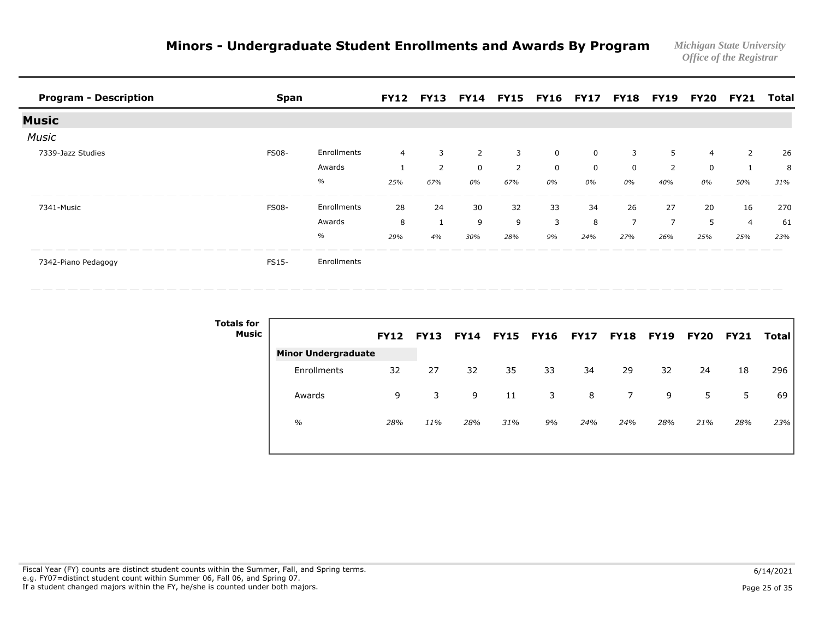| <b>Program - Description</b>   | <b>Span</b>  |             |                |     |     |                | FY12 FY13 FY14 FY15 FY16 FY17 FY18 FY19 FY20 |     |                |     |     | <b>FY21</b> | Total |
|--------------------------------|--------------|-------------|----------------|-----|-----|----------------|----------------------------------------------|-----|----------------|-----|-----|-------------|-------|
| <b>Music</b>                   |              |             |                |     |     |                |                                              |     |                |     |     |             |       |
| <b>Music</b>                   |              |             |                |     |     |                |                                              |     |                |     |     |             |       |
| 7339-Jazz Studies              | <b>FS08-</b> | Enrollments | $\overline{4}$ | 3   | 2   | 3              | $\Omega$                                     | 0   | 3              | 5   | 4   | 2           | 26    |
|                                |              | Awards      |                | 2   | 0   | $\overline{2}$ | 0                                            | 0   | $\Omega$       | 2   | 0   |             | 8     |
|                                |              | $\%$        | 25%            | 67% | 0%  | 67%            | 0%                                           | 0%  | 0%             | 40% | 0%  | 50%         | 31%   |
| 7341-Music                     | <b>FS08-</b> | Enrollments | 28             | 24  | 30  | 32             | 33                                           | 34  | 26             | 27  | 20  | 16          | 270   |
|                                |              | Awards      | 8              |     | 9   | 9              | 3                                            | 8   | $\overline{z}$ |     | 5   | 4           | 61    |
|                                |              | $\%$        | 29%            | 4%  | 30% | 28%            | 9%                                           | 24% | 27%            | 26% | 25% | 25%         | 23%   |
| _______<br>7342-Piano Pedagogy | <b>FS15-</b> | Enrollments |                |     |     |                |                                              |     |                |     |     |             |       |

| <b>Totals for</b><br>Music |                            | <b>FY12</b> | <b>FY13</b> | <b>FY14</b> | <b>FY15</b> | <b>FY16</b> | <b>FY17</b> | <b>FY18</b> | <b>FY19</b> | <b>FY20</b> | <b>FY21</b> | Total |
|----------------------------|----------------------------|-------------|-------------|-------------|-------------|-------------|-------------|-------------|-------------|-------------|-------------|-------|
|                            | <b>Minor Undergraduate</b> |             |             |             |             |             |             |             |             |             |             |       |
|                            | Enrollments                | 32          | 27          | 32          | 35          | 33          | 34          | 29          | 32          | 24          | 18          | 296   |
|                            | Awards                     | 9           | 3           | 9           | 11          | 3           | 8           | 7           | 9           | 5           | 5           | 69    |
|                            | $\frac{0}{0}$              | 28%         | 11%         | 28%         | 31%         | 9%          | 24%         | 24%         | 28%         | 21%         | 28%         | 23%   |
|                            |                            |             |             |             |             |             |             |             |             |             |             |       |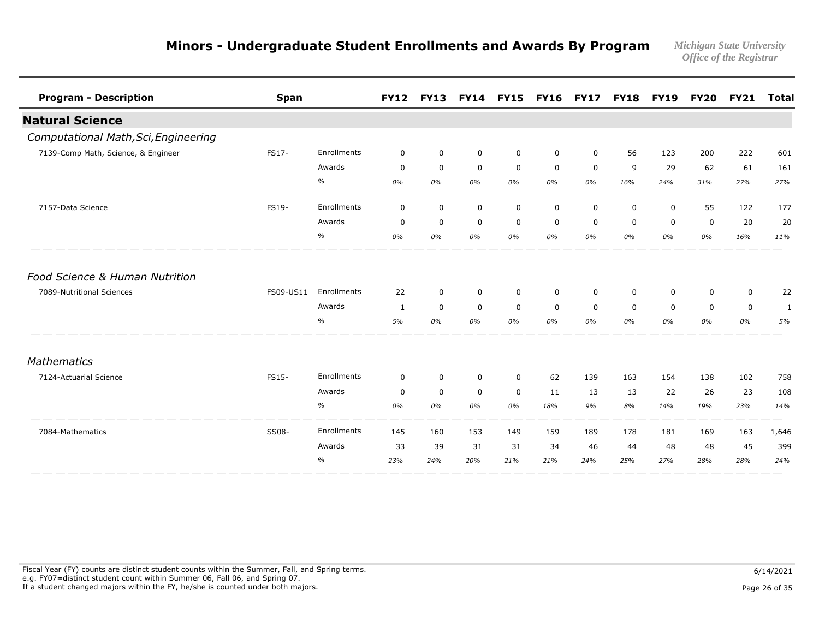| <b>Program - Description</b>         | <b>Span</b> |               | <b>FY12</b>  |             | FY13 FY14 FY15 |             | <b>FY16</b> | <b>FY17</b> | <b>FY18</b> | <b>FY19</b> |             | <b>FY20 FY21</b> | <b>Total</b> |
|--------------------------------------|-------------|---------------|--------------|-------------|----------------|-------------|-------------|-------------|-------------|-------------|-------------|------------------|--------------|
| <b>Natural Science</b>               |             |               |              |             |                |             |             |             |             |             |             |                  |              |
| Computational Math, Sci, Engineering |             |               |              |             |                |             |             |             |             |             |             |                  |              |
| 7139-Comp Math, Science, & Engineer  | FS17-       | Enrollments   | $\mathbf 0$  | $\mathbf 0$ | $\mathbf 0$    | $\mathbf 0$ | $\mathbf 0$ | $\mathbf 0$ | 56          | 123         | 200         | 222              | 601          |
|                                      |             | Awards        | $\mathbf 0$  | $\mathbf 0$ | $\mathbf 0$    | $\mathbf 0$ | $\mathbf 0$ | $\mathbf 0$ | 9           | 29          | 62          | 61               | 161          |
|                                      |             | $\%$          | 0%           | 0%          | 0%             | 0%          | 0%          | 0%          | 16%         | 24%         | 31%         | 27%              | 27%          |
| 7157-Data Science                    | FS19-       | Enrollments   | $\mathbf 0$  | $\mathbf 0$ | $\mathbf 0$    | $\mathbf 0$ | $\mathbf 0$ | $\mathbf 0$ | 0           | $\mathbf 0$ | 55          | 122              | 177          |
|                                      |             | Awards        | 0            | $\mathbf 0$ | $\mathbf 0$    | 0           | 0           | 0           | 0           | 0           | 0           | 20               | 20           |
|                                      |             | $\%$          | 0%           | 0%          | 0%             | 0%          | 0%          | 0%          | 0%          | 0%          | $0\%$       | 16%              | 11%          |
| Food Science & Human Nutrition       |             |               |              |             |                |             |             |             |             |             |             |                  |              |
| 7089-Nutritional Sciences            | FS09-US11   | Enrollments   | 22           | $\mathbf 0$ | $\mathbf 0$    | $\mathbf 0$ | $\mathbf 0$ | $\mathbf 0$ | 0           | 0           | $\mathbf 0$ | $\mathbf 0$      | 22           |
|                                      |             | Awards        | $\mathbf{1}$ | $\mathbf 0$ | $\mathbf 0$    | $\mathbf 0$ | $\mathbf 0$ | $\mathbf 0$ | $\Omega$    | $\Omega$    | $\mathbf 0$ | 0                | 1            |
|                                      |             | $\%$          | 5%           | 0%          | 0%             | 0%          | 0%          | 0%          | 0%          | 0%          | 0%          | 0%               | 5%           |
| Mathematics                          |             |               |              |             |                |             |             |             |             |             |             |                  |              |
| 7124-Actuarial Science               | FS15-       | Enrollments   | $\mathbf 0$  | $\mathbf 0$ | $\mathbf 0$    | $\mathbf 0$ | 62          | 139         | 163         | 154         | 138         | 102              | 758          |
|                                      |             | Awards        | $\mathbf 0$  | $\mathbf 0$ | $\mathbf 0$    | $\mathbf 0$ | 11          | 13          | 13          | 22          | 26          | 23               | 108          |
|                                      |             | $\%$          | 0%           | 0%          | 0%             | 0%          | 18%         | 9%          | 8%          | 14%         | 19%         | 23%              | 14%          |
| 7084-Mathematics                     | SS08-       | Enrollments   | 145          | 160         | 153            | 149         | 159         | 189         | 178         | 181         | 169         | 163              | 1,646        |
|                                      |             | Awards        | 33           | 39          | 31             | 31          | 34          | 46          | 44          | 48          | 48          | 45               | 399          |
|                                      |             | $\frac{0}{0}$ | 23%          | 24%         | 20%            | 21%         | 21%         | 24%         | 25%         | 27%         | 28%         | 28%              | 24%          |

Fiscal Year (FY) counts are distinct student counts within the Summer, Fall, and Spring terms.  $6/14/2021$  e.g. FY07=distinct student count within Summer 06, Fall 06, and Spring 07. If a student changed majors within the FY, he/she is counted under both majors. Page 26 of 35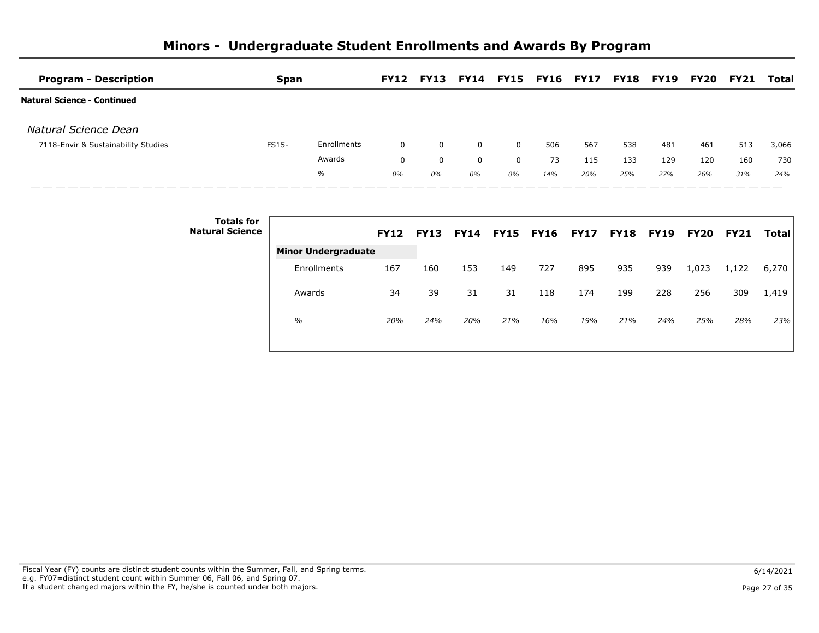| <b>Program - Description</b>        |                                             | <b>Span</b> |                            |              |             |             |             | FY12 FY13 FY14 FY15 FY16 FY17 FY18 FY19 |     |     |     | FY20 | <b>FY21</b> | Total        |
|-------------------------------------|---------------------------------------------|-------------|----------------------------|--------------|-------------|-------------|-------------|-----------------------------------------|-----|-----|-----|------|-------------|--------------|
| <b>Natural Science - Continued</b>  |                                             |             |                            |              |             |             |             |                                         |     |     |     |      |             |              |
| Natural Science Dean                |                                             |             |                            |              |             |             |             |                                         |     |     |     |      |             |              |
| 7118-Envir & Sustainability Studies |                                             | FS15-       | Enrollments                | $\mathbf{0}$ | 0           | $\mathbf 0$ | 0           | 506                                     | 567 | 538 | 481 | 461  | 513         | 3,066        |
|                                     |                                             |             | Awards                     | 0            | $\mathbf 0$ | $\mathbf 0$ | $\mathbf 0$ | 73                                      | 115 | 133 | 129 | 120  | 160         | 730          |
|                                     |                                             |             | $\%$                       | 0%           | 0%          | 0%          | 0%          | 14%                                     | 20% | 25% | 27% | 26%  | 31%         | 24%          |
|                                     | <b>Totals for</b><br><b>Natural Science</b> |             |                            |              |             |             |             | FY12 FY13 FY14 FY15 FY16 FY17 FY18 FY19 |     |     |     | FY20 | <b>FY21</b> | <b>Total</b> |
|                                     |                                             |             | <b>Minor Undergraduate</b> |              |             |             |             |                                         |     |     |     |      |             |              |

Enrollments 167 160 153 149 727 895 935 939 1,023 1,122 6,270

Awards 34 39 31 31 118 174 199 228 256 309 1,419

*% 20% 24% 20% 21% 16% 19% 21% 24% 25% 28% 23%*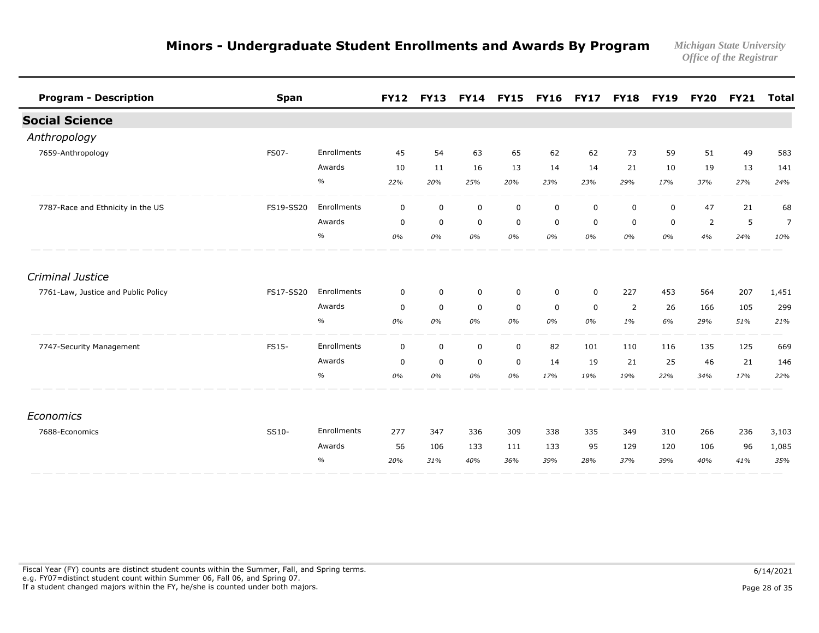|             |             |             |             |              |                | <b>FY17</b> |             | <b>FY19</b> |             |     | <b>Total</b>     |
|-------------|-------------|-------------|-------------|--------------|----------------|-------------|-------------|-------------|-------------|-----|------------------|
|             |             |             |             |              |                |             |             |             |             |     |                  |
|             |             |             |             |              |                |             |             |             |             |     |                  |
| Enrollments | 45          | 54          | 63          | 65           | 62             | 62          | 73          | 59          | 51          | 49  | 583              |
| Awards      | 10          | 11          | 16          | 13           | 14             | 14          | 21          | 10          | 19          | 13  | 141              |
| $\%$        | 22%         | 20%         | 25%         | 20%          | 23%            | 23%         | 29%         | 17%         | 37%         | 27% | 24%              |
| Enrollments | $\mathbf 0$ | $\mathbf 0$ | $\mathbf 0$ | $\mathbf 0$  | $\mathbf 0$    | $\mathbf 0$ | $\mathbf 0$ | $\mathbf 0$ | 47          | 21  | 68               |
| Awards      | $\mathbf 0$ | $\mathbf 0$ | $\mathbf 0$ | 0            | 0              | 0           | 0           | 0           | 2           | 5   | $\overline{7}$   |
| $\%$        | 0%          | 0%          | 0%          | 0%           | 0%             | 0%          | 0%          | 0%          | 4%          | 24% | 10%              |
|             |             |             |             |              |                |             |             |             |             |     |                  |
| Enrollments | $\mathbf 0$ | $\mathbf 0$ | $\mathbf 0$ | $\mathbf 0$  | $\mathbf 0$    | $\mathbf 0$ | 227         | 453         | 564         | 207 | 1,451            |
| Awards      | $\mathbf 0$ | $\mathbf 0$ | $\mathbf 0$ | $\mathbf 0$  | 0              | 0           | 2           | 26          | 166         | 105 | 299              |
| $\%$        | 0%          | 0%          | 0%          | 0%           | 0%             | 0%          | 1%          | 6%          | 29%         | 51% | 21%              |
| Enrollments | $\mathbf 0$ | $\mathbf 0$ | $\mathsf 0$ | $\mathsf{O}$ | 82             | 101         | 110         | 116         | 135         | 125 | 669              |
| Awards      | $\mathbf 0$ | $\mathbf 0$ | $\mathbf 0$ | $\mathbf 0$  | 14             | 19          | 21          | 25          | 46          | 21  | 146              |
| $\%$        | 0%          | 0%          | 0%          | 0%           | 17%            | 19%         | 19%         | 22%         | 34%         | 17% | 22%              |
|             |             |             |             |              |                |             |             |             |             |     |                  |
| Enrollments | 277         | 347         | 336         | 309          | 338            | 335         | 349         | 310         | 266         | 236 | 3,103            |
| Awards      | 56          | 106         | 133         | 111          | 133            | 95          | 129         | 120         | 106         | 96  | 1,085            |
| $\%$        | 20%         | 31%         | 40%         | 36%          | 39%            | 28%         | 37%         | 39%         | 40%         | 41% | 35%              |
|             |             |             | <b>FY12</b> |              | FY13 FY14 FY15 |             | <b>FY16</b> |             | <b>FY18</b> |     | <b>FY20 FY21</b> |

Fiscal Year (FY) counts are distinct student counts within the Summer, Fall, and Spring terms.  $6/14/2021$  e.g. FY07=distinct student count within Summer 06, Fall 06, and Spring 07. If a student changed majors within the FY, he/she is counted under both majors. Page 28 of 35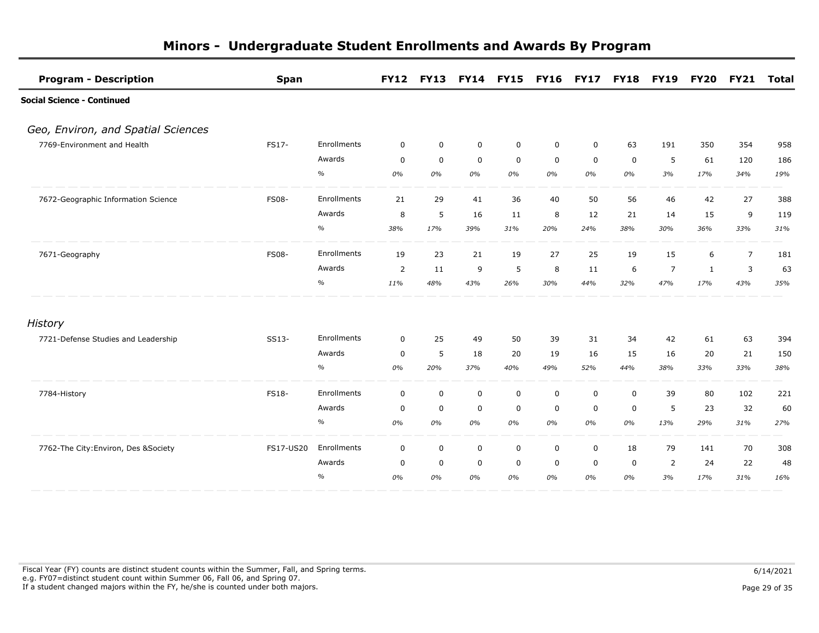| <b>Program - Description</b>          | <b>Span</b>  |             | <b>FY12</b> | <b>FY13</b>      | <b>FY14 FY15</b> |             | <b>FY16 FY17 FY18</b> |                  |             | <b>FY19</b>    | <b>FY20</b> | <b>FY21</b>    | Total |
|---------------------------------------|--------------|-------------|-------------|------------------|------------------|-------------|-----------------------|------------------|-------------|----------------|-------------|----------------|-------|
| <b>Social Science - Continued</b>     |              |             |             |                  |                  |             |                       |                  |             |                |             |                |       |
| Geo, Environ, and Spatial Sciences    |              |             |             |                  |                  |             |                       |                  |             |                |             |                |       |
| 7769-Environment and Health           | FS17-        | Enrollments | $\mathbf 0$ | $\mathbf 0$      | $\mathbf 0$      | $\mathbf 0$ | $\mathbf 0$           | $\mathbf 0$      | 63          | 191            | 350         | 354            | 958   |
|                                       |              | Awards      | $\mathbf 0$ | $\mathbf 0$      | $\mathbf 0$      | $\mathbf 0$ | $\mathbf 0$           | $\mathbf 0$      | $\mathbf 0$ | 5              | 61          | 120            | 186   |
|                                       |              | $\%$        | 0%          | 0%               | 0%               | 0%          | 0%                    | 0%               | 0%          | 3%             | 17%         | 34%            | 19%   |
| 7672-Geographic Information Science   | <b>FS08-</b> | Enrollments | 21          | 29               | 41               | 36          | 40                    | 50               | 56          | 46             | 42          | 27             | 388   |
|                                       |              | Awards      | 8           | 5                | 16               | 11          | 8                     | 12               | 21          | 14             | 15          | 9              | 119   |
|                                       |              | $\%$        | 38%         | 17%              | 39%              | 31%         | 20%                   | 24%              | 38%         | 30%            | 36%         | 33%            | 31%   |
| 7671-Geography                        | <b>FS08-</b> | Enrollments | 19          | 23               | 21               | 19          | 27                    | 25               | 19          | 15             | 6           | $\overline{7}$ | 181   |
|                                       |              | Awards      | 2           | 11               | 9                | 5           | 8                     | 11               | 6           | $\overline{7}$ | 1           | 3              | 63    |
|                                       |              | $\%$        | 11%         | 48%              | 43%              | 26%         | 30%                   | 44%              | 32%         | 47%            | 17%         | 43%            | 35%   |
| History                               |              |             |             |                  |                  |             |                       |                  |             |                |             |                |       |
| 7721-Defense Studies and Leadership   | SS13-        | Enrollments | $\mathbf 0$ | 25               | 49               | 50          | 39                    | 31               | 34          | 42             | 61          | 63             | 394   |
|                                       |              | Awards      | $\mathbf 0$ | 5                | 18               | 20          | 19                    | 16               | 15          | 16             | 20          | 21             | 150   |
|                                       |              | $\%$        | 0%          | 20%              | 37%              | 40%         | 49%                   | 52%              | 44%         | 38%            | 33%         | 33%            | 38%   |
| 7784-History                          | <b>FS18-</b> | Enrollments | 0           | $\mathbf 0$      | $\mathsf 0$      | $\mathbf 0$ | $\mathbf 0$           | 0                | 0           | 39             | 80          | 102            | 221   |
|                                       |              | Awards      | 0           | $\mathbf 0$      | $\mathbf 0$      | $\mathbf 0$ | 0                     | 0                | 0           | 5              | 23          | 32             | 60    |
|                                       |              | $\%$        | 0%          | 0%               | 0%               | 0%          | 0%                    | 0%               | 0%          | 13%            | 29%         | 31%            | 27%   |
| 7762-The City: Environ, Des & Society | FS17-US20    | Enrollments | 0           | $\boldsymbol{0}$ | $\mathbf 0$      | $\mathbf 0$ | $\mathbf 0$           | $\boldsymbol{0}$ | 18          | 79             | 141         | 70             | 308   |
|                                       |              | Awards      | $\mathbf 0$ | $\mathbf 0$      | $\mathbf 0$      | 0           | $\mathbf 0$           | $\mathbf 0$      | $\mathbf 0$ | 2              | 24          | 22             | 48    |
|                                       |              | $\%$        | 0%          | 0%               | 0%               | 0%          | 0%                    | 0%               | 0%          | 3%             | 17%         | 31%            | 16%   |

Fiscal Year (FY) counts are distinct student counts within the Summer, Fall, and Spring terms.  $6/14/2021$  e.g. FY07=distinct student count within Summer 06, Fall 06, and Spring 07. If a student changed majors within the FY, he/she is counted under both majors. Page 29 of 35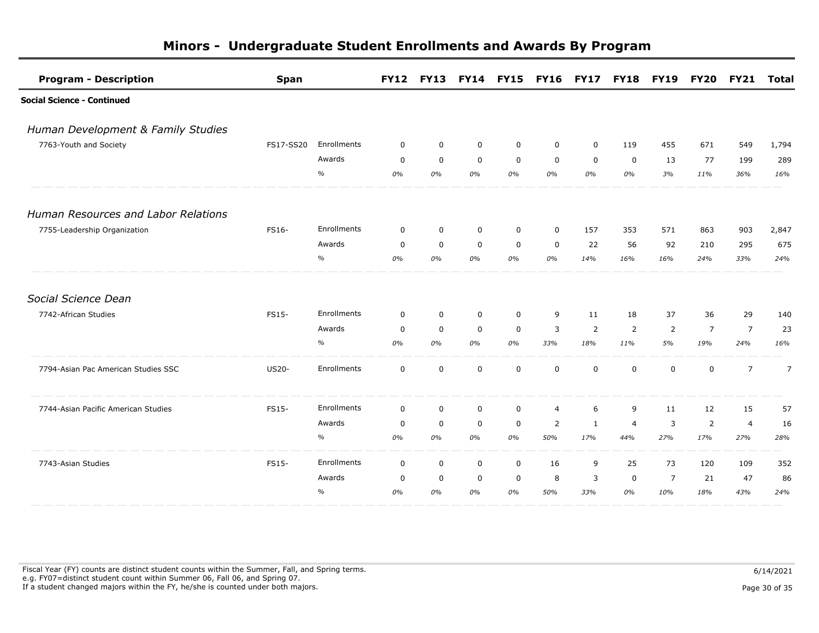| <b>Program - Description</b>        | <b>Span</b>  |             |             | FY12 FY13 FY14 FY15 |             |              | <b>FY16 FY17 FY18</b> |                |                | <b>FY19</b>    | <b>FY20</b>    | <b>FY21</b>    | Total          |
|-------------------------------------|--------------|-------------|-------------|---------------------|-------------|--------------|-----------------------|----------------|----------------|----------------|----------------|----------------|----------------|
| <b>Social Science - Continued</b>   |              |             |             |                     |             |              |                       |                |                |                |                |                |                |
| Human Development & Family Studies  |              |             |             |                     |             |              |                       |                |                |                |                |                |                |
| 7763-Youth and Society              | FS17-SS20    | Enrollments | 0           | $\mathbf 0$         | 0           | 0            | 0                     | $\mathbf 0$    | 119            | 455            | 671            | 549            | 1,794          |
|                                     |              | Awards      | $\mathbf 0$ | $\mathbf 0$         | $\mathbf 0$ | $\mathbf 0$  | $\mathbf 0$           | $\mathbf 0$    | $\mathbf 0$    | 13             | 77             | 199            | 289            |
|                                     |              | $\%$        | 0%          | 0%                  | 0%          | 0%           | 0%                    | 0%             | 0%             | 3%             | 11%            | 36%            | 16%            |
| Human Resources and Labor Relations |              |             |             |                     |             |              |                       |                |                |                |                |                |                |
| 7755-Leadership Organization        | FS16-        | Enrollments | $\mathbf 0$ | $\mathbf 0$         | $\mathbf 0$ | $\mathbf 0$  | $\mathbf 0$           | 157            | 353            | 571            | 863            | 903            | 2,847          |
|                                     |              | Awards      | $\mathbf 0$ | $\mathbf 0$         | 0           | 0            | 0                     | 22             | 56             | 92             | 210            | 295            | 675            |
|                                     |              | $\%$        | 0%          | 0%                  | 0%          | 0%           | 0%                    | 14%            | 16%            | 16%            | 24%            | 33%            | 24%            |
| Social Science Dean                 |              |             |             |                     |             |              |                       |                |                |                |                |                |                |
| 7742-African Studies                | <b>FS15-</b> | Enrollments | $\mathbf 0$ | $\mathbf 0$         | $\mathbf 0$ | 0            | 9                     | 11             | 18             | 37             | 36             | 29             | 140            |
|                                     |              | Awards      | $\mathbf 0$ | $\mathbf 0$         | $\mathbf 0$ | 0            | 3                     | $\overline{2}$ | $\overline{2}$ | $\overline{2}$ | $\overline{7}$ | $\overline{7}$ | 23             |
|                                     |              | $\%$        | 0%          | 0%                  | 0%          | 0%           | 33%                   | 18%            | 11%            | 5%             | 19%            | 24%            | 16%            |
| 7794-Asian Pac American Studies SSC | <b>US20-</b> | Enrollments | $\mathbf 0$ | $\mathbf 0$         | $\mathbf 0$ | 0            | $\mathbf 0$           | $\mathbf 0$    | $\mathbf 0$    | $\mathbf 0$    | $\mathbf 0$    | $\overline{7}$ | $\overline{7}$ |
| 7744-Asian Pacific American Studies | FS15-        | Enrollments | $\mathbf 0$ | $\mathbf 0$         | $\mathbf 0$ | $\mathbf 0$  | $\overline{4}$        | 6              | 9              | 11             | 12             | 15             | 57             |
|                                     |              | Awards      | $\mathbf 0$ | $\mathbf 0$         | $\mathbf 0$ | $\mathbf 0$  | 2                     | 1              | $\overline{4}$ | 3              | 2              | $\overline{4}$ | 16             |
|                                     |              | $\%$        | 0%          | 0%                  | 0%          | 0%           | 50%                   | 17%            | 44%            | 27%            | 17%            | 27%            | 28%            |
| 7743-Asian Studies                  | <b>FS15-</b> | Enrollments | $\mathbf 0$ | $\mathbf 0$         | $\mathsf 0$ | $\mathsf{O}$ | 16                    | 9              | 25             | 73             | 120            | 109            | 352            |
|                                     |              | Awards      | 0           | $\mathbf 0$         | $\mathbf 0$ | 0            | 8                     | 3              | 0              | $\overline{7}$ | 21             | 47             | 86             |
|                                     |              | $\%$        | 0%          | 0%                  | 0%          | 0%           | 50%                   | 33%            | 0%             | 10%            | 18%            | 43%            | 24%            |

Fiscal Year (FY) counts are distinct student counts within the Summer, Fall, and Spring terms.  $6/14/2021$  e.g. FY07=distinct student count within Summer 06, Fall 06, and Spring 07. If a student changed majors within the FY, he/she is counted under both majors. Page 30 of 35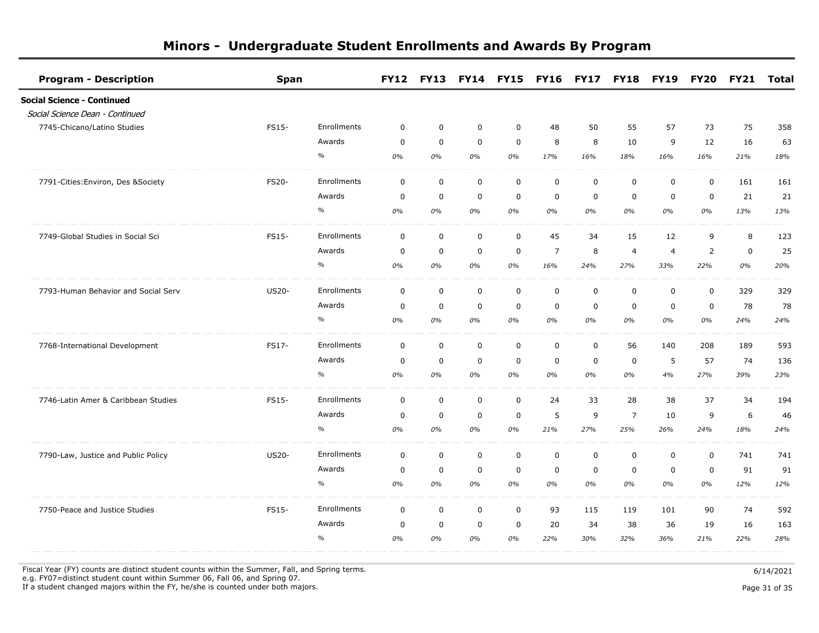| <b>Program - Description</b>        | <b>Span</b>  |             |             |             |             | FY12 FY13 FY14 FY15 FY16 FY17 FY18 |                |             |                | <b>FY19</b>    | <b>FY20</b>    | FY21        | Total |
|-------------------------------------|--------------|-------------|-------------|-------------|-------------|------------------------------------|----------------|-------------|----------------|----------------|----------------|-------------|-------|
| Social Science - Continued          |              |             |             |             |             |                                    |                |             |                |                |                |             |       |
| Social Science Dean - Continued     |              |             |             |             |             |                                    |                |             |                |                |                |             |       |
| 7745-Chicano/Latino Studies         | FS15-        | Enrollments | $\mathbf 0$ | $\mathbf 0$ | $\mathbf 0$ | $\mathbf 0$                        | 48             | 50          | 55             | 57             | 73             | 75          | 358   |
|                                     |              | Awards      | $\mathbf 0$ | $\mathbf 0$ | $\mathbf 0$ | $\mathbf 0$                        | 8              | 8           | 10             | 9              | 12             | 16          | 63    |
|                                     |              | $\%$        | 0%          | 0%          | 0%          | 0%                                 | 17%            | 16%         | 18%            | 16%            | 16%            | 21%         | 18%   |
| 7791-Cities: Environ, Des & Society | FS20-        | Enrollments | $\mathbf 0$ | $\mathbf 0$ | $\mathbf 0$ | $\mathbf 0$                        | $\mathbf 0$    | $\mathbf 0$ | $\mathbf 0$    | 0              | $\mathsf 0$    | 161         | 161   |
|                                     |              | Awards      | $\mathbf 0$ | $\mathbf 0$ | $\mathbf 0$ | $\mathbf 0$                        | $\mathbf 0$    | 0           | $\mathbf 0$    | $\mathbf 0$    | $\mathbf 0$    | 21          | 21    |
|                                     |              | $\%$        | 0%          | 0%          | 0%          | 0%                                 | 0%             | 0%          | 0%             | 0%             | $0\%$          | 13%         | 13%   |
| 7749-Global Studies in Social Sci   | FS15-        | Enrollments | $\mathbf 0$ | $\mathbf 0$ | 0           | $\mathsf{O}\xspace$                | 45             | 34          | 15             | 12             | 9              | 8           | 123   |
|                                     |              | Awards      | $\mathbf 0$ | $\mathbf 0$ | $\mathbf 0$ | $\mathbf 0$                        | $\overline{7}$ | 8           | $\overline{4}$ | $\overline{4}$ | $\overline{2}$ | $\mathbf 0$ | 25    |
|                                     |              | $\%$        | 0%          | 0%          | 0%          | 0%                                 | 16%            | 24%         | 27%            | 33%            | 22%            | 0%          | 20%   |
| 7793-Human Behavior and Social Serv | <b>US20-</b> | Enrollments | $\mathbf 0$ | $\mathbf 0$ | $\mathsf 0$ | $\mathbf 0$                        | $\mathsf 0$    | $\mathbf 0$ | $\mathbf 0$    | $\mathbf 0$    | $\mathbf 0$    | 329         | 329   |
|                                     |              | Awards      | $\mathbf 0$ | $\mathbf 0$ | $\mathbf 0$ | $\mathbf 0$                        | $\mathbf 0$    | 0           | $\Omega$       | $\Omega$       | $\mathbf 0$    | 78          | 78    |
|                                     |              | %           | 0%          | 0%          | 0%          | 0%                                 | 0%             | 0%          | 0%             | 0%             | 0%             | 24%         | 24%   |
| 7768-International Development      | FS17-        | Enrollments | $\mathbf 0$ | $\mathbf 0$ | $\mathbf 0$ | $\mathbf 0$                        | $\mathbf 0$    | $\mathbf 0$ | 56             | 140            | 208            | 189         | 593   |
|                                     |              | Awards      | $\mathbf 0$ | $\mathbf 0$ | $\mathbf 0$ | $\mathbf 0$                        | $\mathbf 0$    | 0           | $\mathbf 0$    | 5              | 57             | 74          | 136   |
|                                     |              | $\%$        | 0%          | 0%          | 0%          | 0%                                 | 0%             | 0%          | 0%             | 4%             | 27%            | 39%         | 23%   |
| 7746-Latin Amer & Caribbean Studies | FS15-        | Enrollments | $\mathbf 0$ | $\mathbf 0$ | $\mathbf 0$ | $\mathbf 0$                        | 24             | 33          | 28             | 38             | 37             | 34          | 194   |
|                                     |              | Awards      | $\mathbf 0$ | $\mathbf 0$ | $\mathbf 0$ | 0                                  | 5              | 9           | $\overline{7}$ | 10             | 9              | 6           | 46    |
|                                     |              | $\%$        | 0%          | 0%          | 0%          | 0%                                 | 21%            | 27%         | 25%            | 26%            | 24%            | 18%         | 24%   |
| 7790-Law, Justice and Public Policy | <b>US20-</b> | Enrollments | $\mathbf 0$ | $\mathbf 0$ | $\mathbf 0$ | $\mathbf 0$                        | $\mathbf 0$    | $\mathbf 0$ | $\mathbf 0$    | 0              | $\mathbf 0$    | 741         | 741   |
|                                     |              | Awards      | 0           | $\mathbf 0$ | $\mathbf 0$ | $\mathbf 0$                        | $\mathbf 0$    | 0           | $\mathbf 0$    | 0              | $\mathbf 0$    | 91          | 91    |
|                                     |              | $\%$        | 0%          | 0%          | 0%          | 0%                                 | 0%             | 0%          | 0%             | 0%             | 0%             | 12%         | 12%   |
| 7750-Peace and Justice Studies      | FS15-        | Enrollments | $\mathbf 0$ | $\mathbf 0$ | $\mathbf 0$ | $\mathbf 0$                        | 93             | 115         | 119            | 101            | 90             | 74          | 592   |
|                                     |              | Awards      | $\mathbf 0$ | $\mathbf 0$ | $\mathbf 0$ | $\mathbf 0$                        | 20             | 34          | 38             | 36             | 19             | 16          | 163   |
|                                     |              | $\%$        | 0%          | 0%          | 0%          | 0%                                 | 22%            | 30%         | 32%            | 36%            | 21%            | 22%         | 28%   |

Fiscal Year (FY) counts are distinct student counts within the Summer, Fall, and Spring terms.  $6/14/2021$ 

 e.g. FY07=distinct student count within Summer 06, Fall 06, and Spring 07. If a student changed majors within the FY, he/she is counted under both majors. Page 31 of 35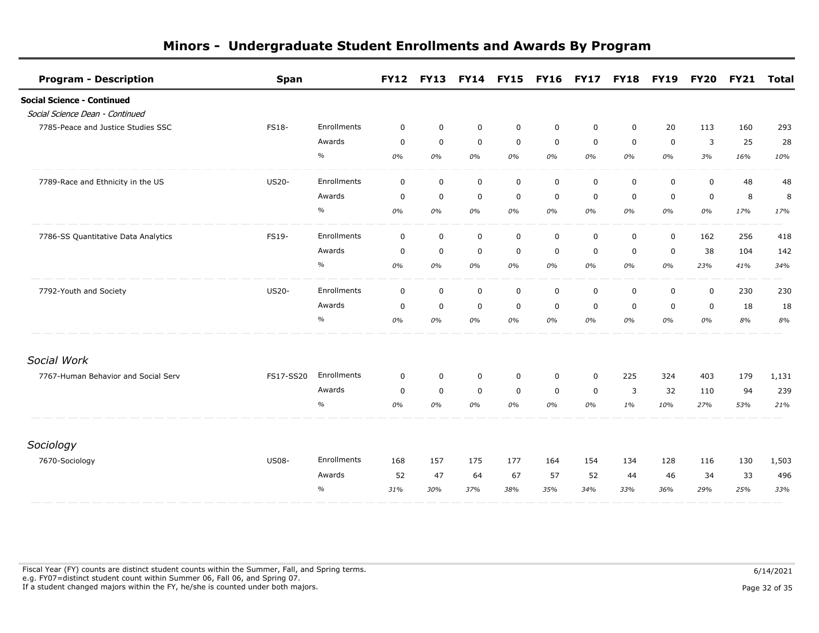| <b>Program - Description</b>        | <b>Span</b>  |             | <b>FY12</b> | <b>FY13</b>      |             | <b>FY14 FY15</b> | <b>FY16 FY17</b> |                  | <b>FY18</b> | <b>FY19</b> | <b>FY20</b> | <b>FY21</b> | <b>Total</b> |
|-------------------------------------|--------------|-------------|-------------|------------------|-------------|------------------|------------------|------------------|-------------|-------------|-------------|-------------|--------------|
| <b>Social Science - Continued</b>   |              |             |             |                  |             |                  |                  |                  |             |             |             |             |              |
| Social Science Dean - Continued     |              |             |             |                  |             |                  |                  |                  |             |             |             |             |              |
| 7785-Peace and Justice Studies SSC  | <b>FS18-</b> | Enrollments | $\mathbf 0$ | $\mathbf 0$      | $\mathbf 0$ | $\mathbf 0$      | $\mathbf 0$      | $\mathbf 0$      | $\mathbf 0$ | 20          | 113         | 160         | 293          |
|                                     |              | Awards      | $\mathbf 0$ | $\mathbf 0$      | $\mathbf 0$ | $\mathbf 0$      | $\mathbf 0$      | $\mathbf 0$      | $\mathbf 0$ | $\mathbf 0$ | 3           | 25          | 28           |
|                                     |              | $\%$        | 0%          | 0%               | 0%          | 0%               | 0%               | 0%               | 0%          | 0%          | 3%          | 16%         | 10%          |
| 7789-Race and Ethnicity in the US   | <b>US20-</b> | Enrollments | $\mathbf 0$ | $\mathbf 0$      | $\mathbf 0$ | $\mathbf 0$      | $\mathbf 0$      | $\mathbf 0$      | $\mathbf 0$ | $\mathbf 0$ | $\mathbf 0$ | 48          | 48           |
|                                     |              | Awards      | 0           | $\mathbf 0$      | $\mathbf 0$ | 0                | $\mathbf 0$      | 0                | $\mathbf 0$ | 0           | $\mathbf 0$ | 8           | 8            |
|                                     |              | $\%$        | 0%          | 0%               | 0%          | 0%               | 0%               | 0%               | 0%          | 0%          | 0%          | 17%         | 17%          |
| 7786-SS Quantitative Data Analytics | FS19-        | Enrollments | $\mathbf 0$ | $\mathbf 0$      | $\mathbf 0$ | $\mathbf 0$      | $\mathbf 0$      | $\mathbf 0$      | $\mathbf 0$ | $\mathbf 0$ | 162         | 256         | 418          |
|                                     |              | Awards      | $\mathbf 0$ | $\mathbf 0$      | $\mathbf 0$ | 0                | $\mathbf 0$      | 0                | $\mathbf 0$ | $\mathbf 0$ | 38          | 104         | 142          |
|                                     |              | $\%$        | 0%          | 0%               | 0%          | 0%               | 0%               | 0%               | 0%          | 0%          | 23%         | 41%         | 34%          |
| 7792-Youth and Society              | <b>US20-</b> | Enrollments | $\mathbf 0$ | $\boldsymbol{0}$ | 0           | $\mathbf 0$      | $\boldsymbol{0}$ | $\boldsymbol{0}$ | $\mathbf 0$ | 0           | $\mathbf 0$ | 230         | 230          |
|                                     |              | Awards      | $\mathbf 0$ | $\mathbf 0$      | $\mathbf 0$ | $\mathbf 0$      | $\mathbf 0$      | 0                | $\mathbf 0$ | $\mathbf 0$ | $\mathbf 0$ | 18          | 18           |
|                                     |              | $\%$        | 0%          | 0%               | 0%          | 0%               | 0%               | 0%               | 0%          | 0%          | 0%          | 8%          | 8%           |
| Social Work                         |              |             |             |                  |             |                  |                  |                  |             |             |             |             |              |
| 7767-Human Behavior and Social Serv | FS17-SS20    | Enrollments | $\mathbf 0$ | $\mathbf 0$      | $\mathbf 0$ | 0                | $\mathbf 0$      | $\mathbf 0$      | 225         | 324         | 403         | 179         | 1,131        |
|                                     |              | Awards      | $\mathbf 0$ | $\mathbf 0$      | $\mathbf 0$ | $\mathbf 0$      | $\mathbf 0$      | $\mathbf 0$      | 3           | 32          | 110         | 94          | 239          |
|                                     |              | $\%$        | 0%          | 0%               | 0%          | 0%               | 0%               | 0%               | 1%          | 10%         | 27%         | 53%         | 21%          |
| Sociology                           |              |             |             |                  |             |                  |                  |                  |             |             |             |             |              |
| 7670-Sociology                      | <b>US08-</b> | Enrollments | 168         | 157              | 175         | 177              | 164              | 154              | 134         | 128         | 116         | 130         | 1,503        |
|                                     |              | Awards      | 52          | 47               | 64          | 67               | 57               | 52               | 44          | 46          | 34          | 33          | 496          |
|                                     |              | $\%$        | 31%         | 30%              | 37%         | 38%              | 35%              | 34%              | 33%         | 36%         | 29%         | 25%         | 33%          |
|                                     |              |             |             |                  |             |                  |                  |                  |             |             |             |             |              |

Fiscal Year (FY) counts are distinct student counts within the Summer, Fall, and Spring terms.  $6/14/2021$  e.g. FY07=distinct student count within Summer 06, Fall 06, and Spring 07. If a student changed majors within the FY, he/she is counted under both majors. Page 32 of 35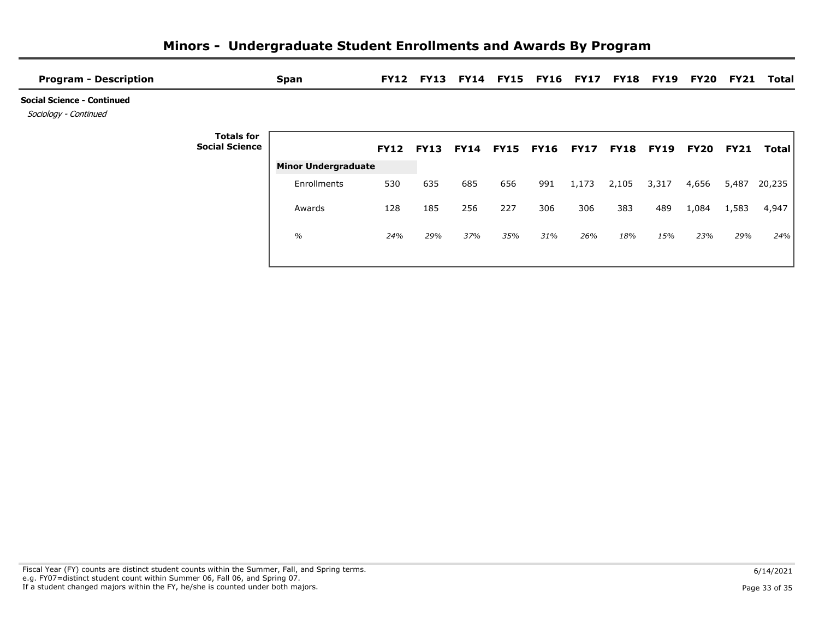| <b>Program - Description</b>                               |                                            | <b>Span</b>                |     |     |     |                          | FY12 FY13 FY14 FY15 FY16 FY17 |             |                  | <b>FY18 FY19</b> | FY20             | FY21  | Total        |
|------------------------------------------------------------|--------------------------------------------|----------------------------|-----|-----|-----|--------------------------|-------------------------------|-------------|------------------|------------------|------------------|-------|--------------|
| <b>Social Science - Continued</b><br>Sociology - Continued |                                            |                            |     |     |     |                          |                               |             |                  |                  |                  |       |              |
|                                                            | <b>Totals for</b><br><b>Social Science</b> |                            |     |     |     | FY12 FY13 FY14 FY15 FY16 |                               | <b>FY17</b> | <b>FY18 FY19</b> |                  | <b>FY20 FY21</b> |       | <b>Total</b> |
|                                                            |                                            | <b>Minor Undergraduate</b> |     |     |     |                          |                               |             |                  |                  |                  |       |              |
|                                                            |                                            | Enrollments                | 530 | 635 | 685 | 656                      | 991                           | 1,173       | 2,105            | 3,317            | 4,656            | 5,487 | 20,235       |
|                                                            |                                            | Awards                     | 128 | 185 | 256 | 227                      | 306                           | 306         | 383              | 489              | 1,084            | 1,583 | 4,947        |
|                                                            |                                            | $\%$                       | 24% | 29% | 37% | 35%                      | 31%                           | 26%         | 18%              | 15%              | 23%              | 29%   | 24%          |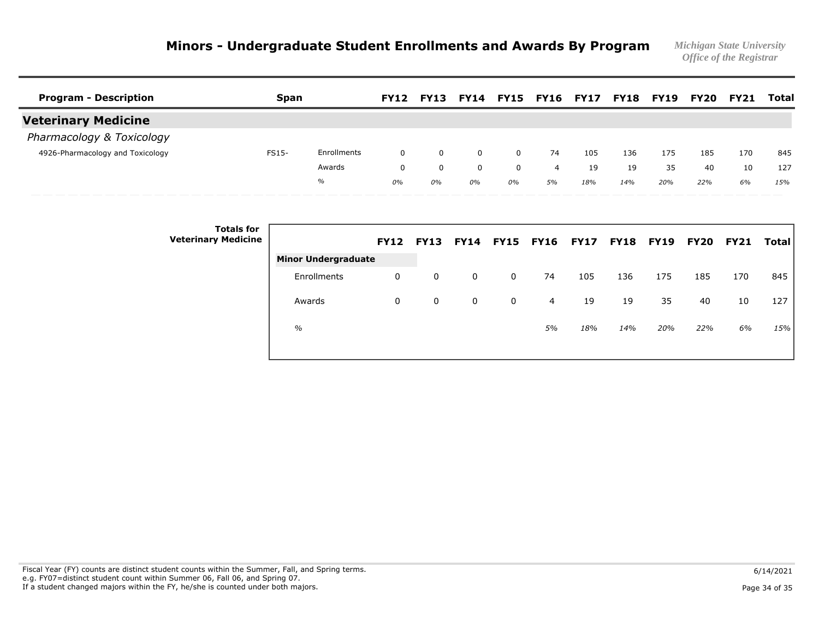| <b>Program - Description</b>     | Span         |             | <b>FY12</b> | <b>FY13</b> | FY14     |          | <b>FY15 FY16 FY17</b> |     | <b>FY18</b> | FY19 | <b>FY20</b> | <b>FY21</b> | Total |
|----------------------------------|--------------|-------------|-------------|-------------|----------|----------|-----------------------|-----|-------------|------|-------------|-------------|-------|
| <b>Veterinary Medicine</b>       |              |             |             |             |          |          |                       |     |             |      |             |             |       |
| Pharmacology & Toxicology        |              |             |             |             |          |          |                       |     |             |      |             |             |       |
| 4926-Pharmacology and Toxicology | <b>FS15-</b> | Enrollments | $\Omega$    | $\Omega$    | $\Omega$ | $\Omega$ | 74                    | 105 | 136         | 175  | 185         | 170         | 845   |
|                                  |              | Awards      | $\Omega$    | $\Omega$    | 0        |          | 4                     | 19  | 19          | 35   | 40          | 10          | 127   |
|                                  |              | $\%$        | 0%          | 0%          | $0\%$    | 0%       | 5%                    | 18% | 14%         | 20%  | 22%         | 6%          | 15%   |
| _________                        |              |             |             |             |          |          |                       |     |             |      |             |             |       |

| <b>Totals for</b><br><b>Veterinary Medicine</b> |                            | <b>FY12</b> | <b>FY13</b> |   |             | FY14 FY15 FY16 FY17 |     | <b>FY18 FY19</b> |     | <b>FY20 FY21</b> |     | Total |
|-------------------------------------------------|----------------------------|-------------|-------------|---|-------------|---------------------|-----|------------------|-----|------------------|-----|-------|
|                                                 | <b>Minor Undergraduate</b> |             |             |   |             |                     |     |                  |     |                  |     |       |
|                                                 | Enrollments                | 0           | 0           | 0 | 0           | 74                  | 105 | 136              | 175 | 185              | 170 | 845   |
|                                                 | Awards                     | 0           | 0           | 0 | $\mathbf 0$ | 4                   | 19  | 19               | 35  | 40               | 10  | 127   |
|                                                 | $\%$                       |             |             |   |             | 5%                  | 18% | 14%              | 20% | 22%              | 6%  | 15%   |
|                                                 |                            |             |             |   |             |                     |     |                  |     |                  |     |       |